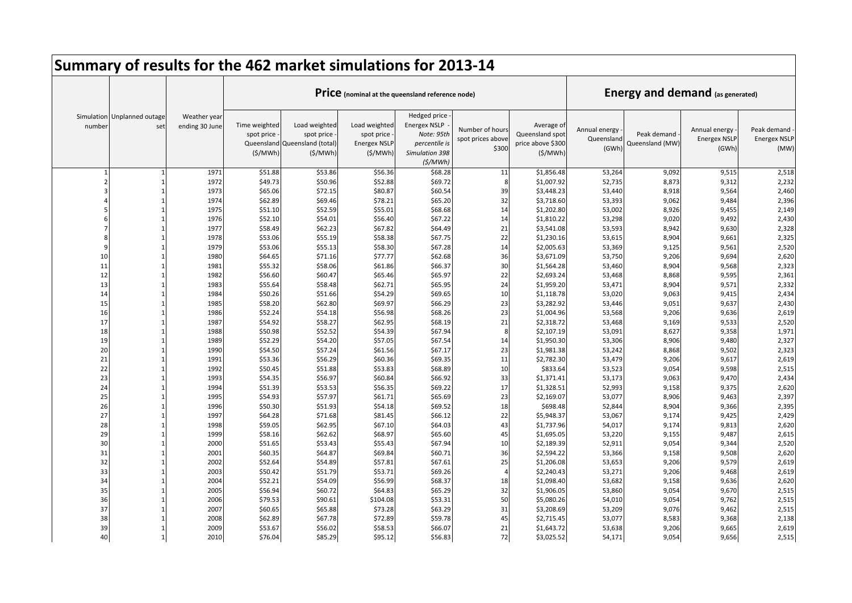|          |                                    |                                |                                        | Summary of results for the 462 market simulations for 2013-14           |                                                               |                                                                                                 |                                               |                                                               |                                      |                                         |                                               |                                            |
|----------|------------------------------------|--------------------------------|----------------------------------------|-------------------------------------------------------------------------|---------------------------------------------------------------|-------------------------------------------------------------------------------------------------|-----------------------------------------------|---------------------------------------------------------------|--------------------------------------|-----------------------------------------|-----------------------------------------------|--------------------------------------------|
|          |                                    |                                |                                        |                                                                         | Price (nominal at the queensland reference node)              |                                                                                                 |                                               |                                                               |                                      | <b>Energy and demand (as generated)</b> |                                               |                                            |
| number   | Simulation Unplanned outage<br>set | Weather year<br>ending 30 June | Time weighted<br>spot price<br>(S/MWh) | Load weighted<br>spot price<br>Queensland Queensland (total)<br>(S/MWh) | Load weighted<br>spot price<br><b>Energex NSLP</b><br>(S/MWh) | Hedged price<br><b>Energex NSLP</b><br>Note: 95th<br>percentile is<br>Simulation 398<br>(S/MWh) | Number of hours<br>spot prices above<br>\$300 | Average of<br>Queensland spot<br>price above \$300<br>(S/MWh) | Annual energy<br>Queensland<br>(GWh) | Peak demand<br>Queensland (MW)          | Annual energy<br><b>Energex NSLF</b><br>(GWh) | Peak demand<br><b>Energex NSLP</b><br>(MW) |
|          |                                    | 1971                           | \$51.88                                | \$53.86                                                                 | \$56.36                                                       | \$68.28                                                                                         | 11                                            | \$1,856.48                                                    | 53,264                               | 9,092                                   | 9,515                                         | 2,518                                      |
|          |                                    | 1972                           | \$49.73                                | \$50.96                                                                 | \$52.88                                                       | \$69.72                                                                                         | 8                                             | \$1,007.92                                                    | 52,735                               | 8,873                                   | 9,312                                         | 2,232                                      |
|          |                                    | 1973                           | \$65.06                                | \$72.15                                                                 | \$80.87                                                       | \$60.54                                                                                         | 39                                            | \$3,448.23                                                    | 53,440                               | 8,918                                   | 9,564                                         | 2,460                                      |
|          |                                    | 1974                           | \$62.89                                | \$69.46                                                                 | \$78.21                                                       | \$65.20                                                                                         | 32                                            | \$3,718.60                                                    | 53,393                               | 9,062                                   | 9,484                                         | 2,396                                      |
|          |                                    | 1975                           | \$51.10                                | \$52.59                                                                 | \$55.01                                                       | \$68.68                                                                                         | 14                                            | \$1,202.80                                                    | 53,002                               | 8,926                                   | 9,455                                         | 2,149                                      |
|          |                                    | 1976                           | \$52.10                                | \$54.01                                                                 | \$56.40                                                       | \$67.22                                                                                         | 14                                            | \$1,810.22                                                    | 53,298                               | 9,020                                   | 9,492                                         | 2,430                                      |
|          |                                    | 1977                           | \$58.49                                | \$62.23                                                                 | \$67.82                                                       | \$64.49                                                                                         | 21                                            | \$3,541.08                                                    | 53,593                               | 8,942                                   | 9,630                                         | 2,328                                      |
|          |                                    | 1978                           | \$53.06                                | \$55.19                                                                 | \$58.38                                                       | \$67.75                                                                                         | 22                                            | \$1,230.16                                                    | 53,615                               | 8,904                                   | 9,661                                         | 2,325                                      |
|          |                                    | 1979                           | \$53.06                                | \$55.13                                                                 | \$58.30                                                       | \$67.28                                                                                         | 14                                            | \$2,005.63                                                    | 53,369                               | 9,125                                   | 9,561                                         | 2,520                                      |
| 10       |                                    | 1980                           | \$64.65                                | \$71.16                                                                 | \$77.77                                                       | \$62.68                                                                                         | 36                                            | \$3,671.09                                                    | 53,750                               | 9,206                                   | 9,694                                         | 2,620                                      |
| 11       |                                    | 1981                           | \$55.32                                | \$58.06                                                                 | \$61.86                                                       | \$66.37                                                                                         | 30                                            | \$1,564.28                                                    | 53,460                               | 8,904                                   | 9,568                                         | 2,323                                      |
| 12       |                                    | 1982                           | \$56.60                                | \$60.47                                                                 | \$65.46                                                       | \$65.97                                                                                         | 22                                            | \$2,693.24                                                    | 53,468                               | 8,868                                   | 9,595                                         | 2,361                                      |
| 13       |                                    | 1983                           | \$55.64                                | \$58.48                                                                 | \$62.71                                                       | \$65.95                                                                                         | 24                                            | \$1,959.20                                                    | 53,471                               | 8,904                                   | 9,571                                         | 2,332                                      |
| 14       |                                    | 1984                           | \$50.26                                | \$51.66                                                                 | \$54.29                                                       | \$69.65                                                                                         | 10                                            | \$1,118.78                                                    | 53,020                               | 9,063                                   | 9,415                                         | 2,434                                      |
| 15       |                                    | 1985                           | \$58.20                                | \$62.80                                                                 | \$69.97                                                       | \$66.29                                                                                         | 23                                            | \$3,282.92                                                    | 53,446                               | 9,051                                   | 9,637                                         | 2,430                                      |
| 16       |                                    | 1986                           | \$52.24                                | \$54.18                                                                 | \$56.98                                                       | \$68.26                                                                                         | 23                                            | \$1,004.96                                                    | 53,568                               | 9,206                                   | 9,636                                         | 2,619                                      |
| 17       |                                    | 1987                           | \$54.92                                | \$58.27                                                                 | \$62.95                                                       | \$68.19                                                                                         | 21                                            | \$2,318.72                                                    | 53,468                               | 9,169                                   | 9,533                                         | 2,520                                      |
| 18       |                                    | 1988                           | \$50.98                                | \$52.52                                                                 | \$54.39                                                       | \$67.94                                                                                         | 8                                             | \$2,107.19                                                    | 53,091                               | 8,627                                   | 9,358                                         | 1,971                                      |
| 19       |                                    | 1989                           | \$52.29                                | \$54.20                                                                 | \$57.05                                                       | \$67.54                                                                                         | 14                                            | \$1,950.30                                                    | 53,306                               | 8,906                                   | 9,480                                         | 2,327                                      |
| 20       |                                    | 1990                           | \$54.50                                | \$57.24                                                                 | \$61.56                                                       | \$67.17                                                                                         | 23                                            | \$1,981.38                                                    | 53,242                               | 8,868                                   | 9,502                                         | 2,323                                      |
| 21       |                                    | 1991                           | \$53.36                                | \$56.29                                                                 | \$60.36                                                       | \$69.35                                                                                         | 11                                            | \$2,782.30                                                    | 53,479                               | 9,206                                   | 9,617                                         | 2,619                                      |
| 22       |                                    | 1992                           | \$50.45                                | \$51.88                                                                 | \$53.83                                                       | \$68.89                                                                                         | 10                                            | \$833.64                                                      | 53,523                               | 9,054                                   | 9,598                                         | 2,515                                      |
| 23       |                                    | 1993                           | \$54.35                                | \$56.97                                                                 | \$60.84                                                       | \$66.92                                                                                         | 33                                            | \$1,371.41                                                    | 53,173                               | 9,063                                   | 9,470                                         | 2,434                                      |
| 24       |                                    | 1994                           | \$51.39                                | \$53.53                                                                 | \$56.35                                                       | \$69.22                                                                                         | 17                                            | \$1,328.51                                                    | 52,993                               | 9,158                                   | 9,375                                         | 2,620                                      |
| 25       |                                    | 1995                           | \$54.93                                | \$57.97                                                                 | \$61.71                                                       | \$65.69                                                                                         | 23                                            | \$2,169.07                                                    | 53,077                               | 8,906                                   | 9,463                                         | 2,397                                      |
| 26       |                                    | 1996                           | \$50.30                                | \$51.93                                                                 | \$54.18                                                       | \$69.52                                                                                         | 18                                            | \$698.48                                                      | 52,844                               | 8,904                                   | 9,366                                         | 2,395                                      |
| 27       |                                    | 1997                           | \$64.28                                | \$71.68                                                                 | \$81.45                                                       | \$66.12                                                                                         | 22                                            | \$5,948.37                                                    | 53,067                               | 9,174                                   | 9,425                                         | 2,429                                      |
| 28       |                                    | 1998                           | \$59.05                                | \$62.95                                                                 | \$67.10                                                       | \$64.03                                                                                         | 43                                            | \$1,737.96                                                    | 54,017                               | 9,174                                   | 9,813                                         | 2,620                                      |
| 29       |                                    | 1999                           | \$58.16                                | \$62.62                                                                 | \$68.97                                                       | \$65.60                                                                                         | 45                                            | \$1,695.05                                                    | 53,220                               | 9,155                                   | 9,487                                         | 2,615                                      |
| 30       |                                    | 2000                           | \$51.65                                | \$53.43                                                                 | \$55.43                                                       | \$67.94                                                                                         | 10                                            | \$2,189.39                                                    | 52,911                               | 9,054                                   | 9,344                                         | 2,520                                      |
| 31<br>32 |                                    | 2001<br>2002                   | \$60.35<br>\$52.64                     | \$64.87<br>\$54.89                                                      | \$69.84<br>\$57.81                                            | \$60.71<br>\$67.61                                                                              | 36<br>25                                      | \$2,594.22<br>\$1,206.08                                      | 53,366                               | 9,158<br>9,206                          | 9,508<br>9,579                                | 2,620                                      |
| 33       |                                    | 2003                           | \$50.42                                |                                                                         | \$53.71                                                       | \$69.26                                                                                         |                                               | \$2,240.43                                                    | 53,653                               | 9,206                                   | 9,468                                         | 2,619                                      |
| 34       |                                    | 2004                           | \$52.21                                | \$51.79<br>\$54.09                                                      | \$56.99                                                       | \$68.37                                                                                         | 18                                            | \$1,098.40                                                    | 53,271<br>53,682                     | 9,158                                   | 9,636                                         | 2,619<br>2,620                             |
| 35       |                                    | 2005                           | \$56.94                                | \$60.72                                                                 | \$64.83                                                       | \$65.29                                                                                         | 32                                            | \$1,906.05                                                    | 53,860                               | 9,054                                   | 9,670                                         | 2,515                                      |
| 36       |                                    | 2006                           | \$79.53                                | \$90.61                                                                 | \$104.08                                                      | \$53.31                                                                                         | 50                                            | \$5,080.26                                                    | 54,010                               | 9,054                                   | 9,762                                         | 2,515                                      |
| 37       |                                    | 2007                           | \$60.65                                | \$65.88                                                                 | \$73.28                                                       | \$63.29                                                                                         | 31                                            | \$3,208.69                                                    | 53,209                               | 9,076                                   | 9,462                                         | 2,515                                      |
| 38       |                                    | 2008                           | \$62.89                                | \$67.78                                                                 | \$72.89                                                       | \$59.78                                                                                         | 45                                            | \$2,715.45                                                    | 53,077                               | 8,583                                   | 9,368                                         | 2,138                                      |
| 39       |                                    | 2009                           | \$53.67                                | \$56.02                                                                 | \$58.53                                                       | \$66.07                                                                                         | 21                                            | \$1,643.72                                                    | 53,638                               | 9,206                                   | 9,665                                         | 2,619                                      |
| 40       |                                    | 2010                           | \$76.04                                | \$85.29                                                                 | \$95.12                                                       | \$56.83                                                                                         | 72                                            | \$3,025.52                                                    | 54,171                               | 9,054                                   | 9,656                                         | 2,515                                      |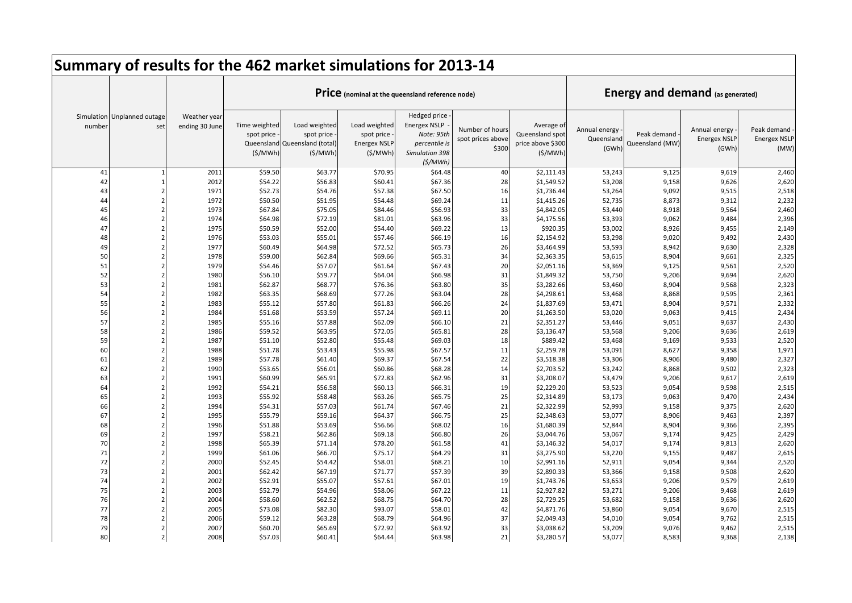|          |                                    |                                |                                                      | Summary of results for the 462 market simulations for 2013-14 |                                                               |                                                                                                 |                                               |                                                               |                                      |                                         |                                               |                                            |
|----------|------------------------------------|--------------------------------|------------------------------------------------------|---------------------------------------------------------------|---------------------------------------------------------------|-------------------------------------------------------------------------------------------------|-----------------------------------------------|---------------------------------------------------------------|--------------------------------------|-----------------------------------------|-----------------------------------------------|--------------------------------------------|
|          |                                    |                                |                                                      |                                                               |                                                               | Price (nominal at the queensland reference node)                                                |                                               |                                                               |                                      | <b>Energy and demand (as generated)</b> |                                               |                                            |
| number   | Simulation Unplanned outage<br>set | Weather year<br>ending 30 June | Time weighted<br>spot price<br>Queensland<br>(S/MWh) | Load weighted<br>spot price<br>Queensland (total)<br>(S/MWh)  | Load weighted<br>spot price<br><b>Energex NSLP</b><br>(S/MWh) | Hedged price<br><b>Energex NSLP</b><br>Note: 95th<br>percentile is<br>Simulation 398<br>(S/MWh) | Number of hours<br>spot prices above<br>\$300 | Average of<br>Queensland spot<br>price above \$300<br>(S/MWh) | Annual energy<br>Queensland<br>(GWh) | Peak demand<br>Queensland (MW)          | Annual energy<br><b>Energex NSLF</b><br>(GWh) | Peak demand<br><b>Energex NSLP</b><br>(MW) |
| 41       |                                    | 2011                           | \$59.50                                              | \$63.77                                                       | \$70.95                                                       | \$64.48                                                                                         | 40                                            | \$2,111.43                                                    | 53,243                               | 9,125                                   | 9,619                                         | 2,460                                      |
| 42       |                                    | 2012                           | \$54.22                                              | \$56.83                                                       | \$60.41                                                       | \$67.36                                                                                         | 28                                            | \$1,549.52                                                    | 53,208                               | 9,158                                   | 9,626                                         | 2,620                                      |
| 43       |                                    | 1971                           | \$52.73                                              | \$54.76                                                       | \$57.38                                                       | \$67.50                                                                                         | 16                                            | \$1,736.44                                                    | 53,264                               | 9,092                                   | 9,515                                         | 2,518                                      |
| 44       | $\overline{2}$                     | 1972                           | \$50.50                                              | \$51.95                                                       | \$54.48                                                       | \$69.24                                                                                         | 11                                            | \$1,415.26                                                    | 52,735                               | 8,873                                   | 9,312                                         | 2,232                                      |
| 45       | $\overline{2}$                     | 1973                           | \$67.84                                              | \$75.05                                                       | \$84.46                                                       | \$56.93                                                                                         | 33                                            | \$4,842.05                                                    | 53,440                               | 8,918                                   | 9,564                                         | 2,460                                      |
| 46       | $\overline{2}$                     | 1974                           | \$64.98                                              | \$72.19                                                       | \$81.01                                                       | \$63.96                                                                                         | 33                                            | \$4,175.56                                                    | 53,393                               | 9,062                                   | 9,484                                         | 2,396                                      |
| 47       | $\overline{2}$                     | 1975                           | \$50.59                                              | \$52.00                                                       | \$54.40                                                       | \$69.22                                                                                         | 13                                            | \$920.35                                                      | 53,002                               | 8,926                                   | 9,455                                         | 2,149                                      |
| 48       | $\overline{2}$                     | 1976                           | \$53.03                                              | \$55.01                                                       | \$57.46                                                       | \$66.19                                                                                         | 16                                            | \$2,154.92                                                    | 53,298                               | 9,020                                   | 9,492                                         | 2,430                                      |
| 49       | $\overline{2}$                     | 1977                           | \$60.49                                              | \$64.98                                                       | \$72.52                                                       | \$65.73                                                                                         | 26                                            | \$3,464.99                                                    | 53,593                               | 8,942                                   | 9,630                                         | 2,328                                      |
| 50       | $\overline{2}$                     | 1978                           | \$59.00                                              | \$62.84                                                       | \$69.66                                                       | \$65.31                                                                                         | 34                                            | \$2,363.35                                                    | 53,615                               | 8,904                                   | 9,661                                         | 2,325                                      |
| 51       | $\overline{2}$                     | 1979                           | \$54.46                                              | \$57.07                                                       | \$61.64                                                       | \$67.43                                                                                         | 20                                            | \$2,051.16                                                    | 53,369                               | 9,125                                   | 9,561                                         | 2,520                                      |
| 52       | $\mathfrak{p}$                     | 1980                           | \$56.10                                              | \$59.77                                                       | \$64.04                                                       | \$66.98                                                                                         | 31                                            | \$1,849.32                                                    | 53,750                               | 9,206                                   | 9,694                                         | 2,620                                      |
| 53       | $\overline{2}$                     | 1981                           | \$62.87                                              | \$68.77                                                       | \$76.36                                                       | \$63.80                                                                                         | 35                                            | \$3,282.66                                                    | 53,460                               | 8,904                                   | 9,568                                         | 2,323                                      |
| 54       |                                    | 1982                           | \$63.35                                              | \$68.69                                                       | \$77.26                                                       | \$63.04                                                                                         | 28                                            | \$4,298.61                                                    | 53,468                               | 8,868                                   | 9,595                                         | 2,361                                      |
| 55       | $\overline{2}$                     | 1983                           | \$55.12                                              | \$57.80                                                       | \$61.83                                                       | \$66.26                                                                                         | 24                                            | \$1,837.69                                                    | 53,471                               | 8,904                                   | 9,571                                         | 2,332                                      |
| 56<br>57 | $\overline{2}$<br>$\overline{2}$   | 1984                           | \$51.68                                              | \$53.59                                                       | \$57.24                                                       | \$69.11                                                                                         | 20<br>21                                      | \$1,263.50                                                    | 53,020                               | 9,063                                   | 9,415                                         | 2,434                                      |
| 58       | $\overline{2}$                     | 1985<br>1986                   | \$55.16<br>\$59.52                                   | \$57.88<br>\$63.95                                            | \$62.09<br>\$72.05                                            | \$66.10<br>\$65.81                                                                              | 28                                            | \$2,351.27<br>\$3,136.47                                      | 53,446                               | 9,051<br>9,206                          | 9,637<br>9,636                                | 2,430<br>2,619                             |
| 59       | $\overline{2}$                     | 1987                           | \$51.10                                              | \$52.80                                                       | \$55.48                                                       | \$69.03                                                                                         | 18                                            | \$889.42                                                      | 53,568<br>53,468                     | 9,169                                   | 9,533                                         | 2,520                                      |
| 60       | $\overline{2}$                     | 1988                           | \$51.78                                              | \$53.43                                                       | \$55.98                                                       | \$67.57                                                                                         | 11                                            | \$2,259.78                                                    | 53,091                               | 8,627                                   | 9,358                                         | 1,971                                      |
| 61       | $\overline{2}$                     | 1989                           | \$57.78                                              | \$61.40                                                       | \$69.37                                                       | \$67.54                                                                                         | 22                                            | \$3,518.38                                                    | 53,306                               | 8,906                                   | 9,480                                         | 2,327                                      |
| 62       | $\overline{2}$                     | 1990                           | \$53.65                                              | \$56.01                                                       | \$60.86                                                       | \$68.28                                                                                         | 14                                            | \$2,703.52                                                    | 53,242                               | 8,868                                   | 9,502                                         | 2,323                                      |
| 63       | $\overline{2}$                     | 1991                           | \$60.99                                              | \$65.91                                                       | \$72.83                                                       | \$62.96                                                                                         | 31                                            | \$3,208.07                                                    | 53,479                               | 9,206                                   | 9,617                                         | 2,619                                      |
| 64       | $\overline{2}$                     | 1992                           | \$54.21                                              | \$56.58                                                       | \$60.13                                                       | \$66.31                                                                                         | 19                                            | \$2,229.20                                                    | 53,523                               | 9,054                                   | 9,598                                         | 2,515                                      |
| 65       | $\overline{2}$                     | 1993                           | \$55.92                                              | \$58.48                                                       | \$63.26                                                       | \$65.75                                                                                         | 25                                            | \$2,314.89                                                    | 53,173                               | 9,063                                   | 9,470                                         | 2,434                                      |
| 66       | $\mathfrak{p}$                     | 1994                           | \$54.31                                              | \$57.03                                                       | \$61.74                                                       | \$67.46                                                                                         | 21                                            | \$2,322.99                                                    | 52,993                               | 9,158                                   | 9,375                                         | 2,620                                      |
| 67       | $\overline{2}$                     | 1995                           | \$55.79                                              | \$59.16                                                       | \$64.37                                                       | \$66.75                                                                                         | 25                                            | \$2,348.63                                                    | 53,077                               | 8,906                                   | 9,463                                         | 2,397                                      |
| 68       | $\overline{2}$                     | 1996                           | \$51.88                                              | \$53.69                                                       | \$56.66                                                       | \$68.02                                                                                         | 16                                            | \$1,680.39                                                    | 52,844                               | 8,904                                   | 9,366                                         | 2,395                                      |
| 69       | $\overline{2}$                     | 1997                           | \$58.21                                              | \$62.86                                                       | \$69.18                                                       | \$66.80                                                                                         | 26                                            | \$3,044.76                                                    | 53,067                               | 9,174                                   | 9,425                                         | 2,429                                      |
| 70       | $\overline{2}$                     | 1998                           | \$65.39                                              | \$71.14                                                       | \$78.20                                                       | \$61.58                                                                                         | 41                                            | \$3,146.32                                                    | 54,017                               | 9,174                                   | 9,813                                         | 2,620                                      |
| 71       | $\overline{2}$                     | 1999                           | \$61.06                                              | \$66.70                                                       | \$75.17                                                       | \$64.29                                                                                         | 31                                            | \$3,275.90                                                    | 53,220                               | 9,155                                   | 9,487                                         | 2,615                                      |
| 72       | $\overline{2}$                     | 2000                           | \$52.45                                              | \$54.42                                                       | \$58.01                                                       | \$68.21                                                                                         | 10                                            | \$2,991.16                                                    | 52,911                               | 9,054                                   | 9,344                                         | 2,520                                      |
| 73       | $\overline{2}$                     | 2001                           | \$62.42                                              | \$67.19                                                       | \$71.77                                                       | \$57.39                                                                                         | 39                                            | \$2,890.33                                                    | 53,366                               | 9,158                                   | 9,508                                         | 2,620                                      |
| 74       | $\overline{2}$                     | 2002                           | \$52.91                                              | \$55.07                                                       | \$57.61                                                       | \$67.01                                                                                         | 19                                            | \$1,743.76                                                    | 53,653                               | 9,206                                   | 9,579                                         | 2,619                                      |
| 75       | $\overline{2}$                     | 2003                           | \$52.79                                              | \$54.96                                                       | \$58.06                                                       | \$67.22                                                                                         | 11                                            | \$2,927.82                                                    | 53,271                               | 9,206                                   | 9,468                                         | 2,619                                      |
| 76       | $\overline{2}$                     | 2004                           | \$58.60                                              | \$62.52                                                       | \$68.75                                                       | \$64.70                                                                                         | 28                                            | \$2,729.25                                                    | 53,682                               | 9,158                                   | 9,636                                         | 2,620                                      |
| 77       | $\overline{2}$                     | 2005                           | \$73.08                                              | \$82.30                                                       | \$93.07                                                       | \$58.01                                                                                         | 42                                            | \$4,871.76                                                    | 53,860                               | 9,054                                   | 9,670                                         | 2,515                                      |
| 78       | $\overline{2}$                     | 2006                           | \$59.12                                              | \$63.28                                                       | \$68.79                                                       | \$64.96                                                                                         | 37                                            | \$2,049.43                                                    | 54,010                               | 9,054                                   | 9,762                                         | 2,515                                      |
| 79       |                                    | 2007                           | \$60.70                                              | \$65.69                                                       | \$72.92                                                       | \$63.92                                                                                         | 33                                            | \$3,038.62                                                    | 53,209                               | 9,076                                   | 9,462                                         | 2,515                                      |
| 80       | $\overline{2}$                     | 2008                           | \$57.03                                              | \$60.41                                                       | \$64.44                                                       | \$63.98                                                                                         | 21                                            | \$3,280.57                                                    | 53,077                               | 8,583                                   | 9,368                                         | 2,138                                      |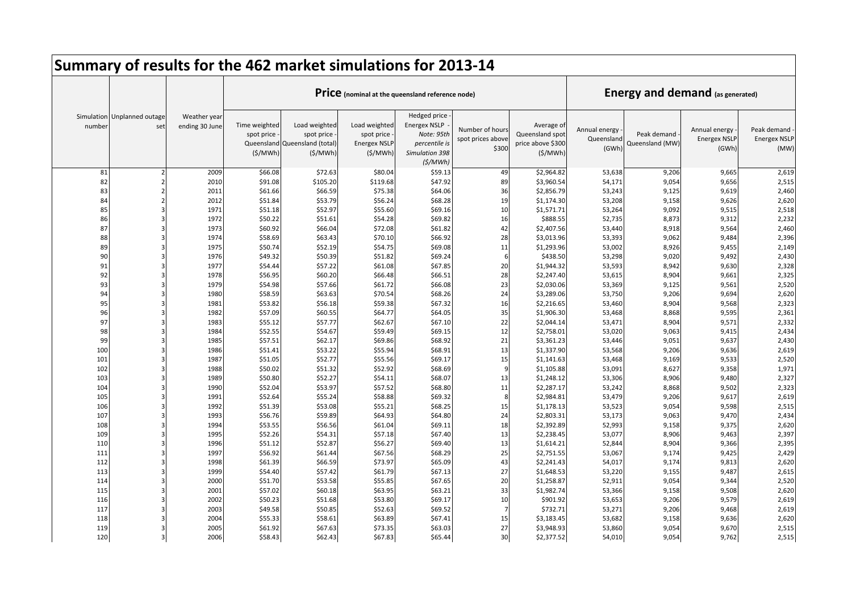|          |                                    |                                |                                        | Summary of results for the 462 market simulations for 2013-14           |                                                                |                                                                                                 |                                               |                                                               |                                      |                                         |                                               |                                            |
|----------|------------------------------------|--------------------------------|----------------------------------------|-------------------------------------------------------------------------|----------------------------------------------------------------|-------------------------------------------------------------------------------------------------|-----------------------------------------------|---------------------------------------------------------------|--------------------------------------|-----------------------------------------|-----------------------------------------------|--------------------------------------------|
|          |                                    |                                |                                        |                                                                         |                                                                | Price (nominal at the queensland reference node)                                                |                                               |                                                               |                                      | <b>Energy and demand (as generated)</b> |                                               |                                            |
| number   | Simulation Unplanned outage<br>set | Weather year<br>ending 30 June | Time weighted<br>spot price<br>(S/MWh) | Load weighted<br>spot price<br>Queensland Queensland (total)<br>(S/MWh) | Load weighted<br>spot price<br><b>Energex NSLP</b><br>(\$/MWh) | Hedged price<br><b>Energex NSLP</b><br>Note: 95th<br>percentile is<br>Simulation 398<br>(S/MWh) | Number of hours<br>spot prices above<br>\$300 | Average of<br>Queensland spot<br>price above \$300<br>(S/MWh) | Annual energy<br>Queensland<br>(GWh) | Peak demand<br>Queensland (MW)          | Annual energy<br><b>Energex NSLF</b><br>(GWh) | Peak demand<br><b>Energex NSLP</b><br>(MW) |
| 81       |                                    | 2009                           | \$66.08                                | \$72.63                                                                 | \$80.04                                                        | \$59.13                                                                                         | 49                                            | \$2,964.82                                                    | 53,638                               | 9,206                                   | 9,665                                         | 2,619                                      |
| 82       |                                    | 2010                           | \$91.08                                | \$105.20                                                                | \$119.68                                                       | \$47.92                                                                                         | 89                                            | \$3,960.54                                                    | 54,171                               | 9,054                                   | 9,656                                         | 2,515                                      |
| 83       |                                    | 2011                           | \$61.66                                | \$66.59                                                                 | \$75.38                                                        | \$64.06                                                                                         | 36                                            | \$2,856.79                                                    | 53,243                               | 9,125                                   | 9,619                                         | 2,460                                      |
| 84       |                                    | 2012                           | \$51.84                                | \$53.79                                                                 | \$56.24                                                        | \$68.28                                                                                         | 19                                            | \$1,174.30                                                    | 53,208                               | 9,158                                   | 9,626                                         | 2,620                                      |
| 85       |                                    | 1971                           | \$51.18                                | \$52.97                                                                 | \$55.60                                                        | \$69.16                                                                                         | 10                                            | \$1,571.71                                                    | 53,264                               | 9,092                                   | 9,515                                         | 2,518                                      |
| 86       |                                    | 1972                           | \$50.22                                | \$51.61                                                                 | \$54.28                                                        | \$69.82                                                                                         | 16                                            | \$888.55                                                      | 52,735                               | 8,873                                   | 9,312                                         | 2,232                                      |
| 87       |                                    | 1973                           | \$60.92                                | \$66.04                                                                 | \$72.08                                                        | \$61.82                                                                                         | 42                                            | \$2,407.56                                                    | 53,440                               | 8,918                                   | 9,564                                         | 2,460                                      |
| 88       |                                    | 1974                           | \$58.69                                | \$63.43                                                                 | \$70.10                                                        | \$66.92                                                                                         | 28                                            | \$3,013.96                                                    | 53,393                               | 9,062                                   | 9,484                                         | 2,396                                      |
| 89       |                                    | 1975                           | \$50.74                                | \$52.19                                                                 | \$54.75                                                        | \$69.08                                                                                         | 11                                            | \$1,293.96                                                    | 53,002                               | 8,926                                   | 9,455                                         | 2,149                                      |
| 90       |                                    | 1976                           | \$49.32                                | \$50.39                                                                 | \$51.82                                                        | \$69.24                                                                                         | 6                                             | \$438.50                                                      | 53,298                               | 9,020                                   | 9,492                                         | 2,430                                      |
| 91       |                                    | 1977                           | \$54.44                                | \$57.22                                                                 | \$61.08                                                        | \$67.85                                                                                         | 20                                            | \$1,944.32                                                    | 53,593                               | 8,942                                   | 9,630                                         | 2,328                                      |
| 92       |                                    | 1978                           | \$56.95                                | \$60.20                                                                 | \$66.48                                                        | \$66.51                                                                                         | 28                                            | \$2,247.40                                                    | 53,615                               | 8,904                                   | 9,661                                         | 2,325                                      |
| 93       |                                    | 1979                           | \$54.98                                | \$57.66                                                                 | \$61.72                                                        | \$66.08                                                                                         | 23                                            | \$2,030.06                                                    | 53,369                               | 9,125                                   | 9,561                                         | 2,520                                      |
| 94       |                                    | 1980                           | \$58.59                                | \$63.63                                                                 | \$70.54                                                        | \$68.26                                                                                         | 24                                            | \$3,289.06                                                    | 53,750                               | 9,206                                   | 9,694                                         | 2,620                                      |
| 95       |                                    | 1981                           | \$53.82                                | \$56.18                                                                 | \$59.38                                                        | \$67.32                                                                                         | 16                                            | \$2,216.65                                                    | 53,460                               | 8,904                                   | 9,568                                         | 2,323                                      |
| 96       |                                    | 1982                           | \$57.09                                | \$60.55                                                                 | \$64.77                                                        | \$64.05                                                                                         | 35                                            | \$1,906.30                                                    | 53,468                               | 8,868                                   | 9,595                                         | 2,361                                      |
| 97<br>98 |                                    | 1983                           | \$55.12                                | \$57.77                                                                 | \$62.67                                                        | \$67.10                                                                                         | 22<br>12                                      | \$2,044.14                                                    | 53,471                               | 8,904                                   | 9,571                                         | 2,332                                      |
| 99       |                                    | 1984<br>1985                   | \$52.55<br>\$57.51                     | \$54.67<br>\$62.17                                                      | \$59.49<br>\$69.86                                             | \$69.15<br>\$68.92                                                                              | 21                                            | \$2,758.01<br>\$3,361.23                                      | 53,020<br>53,446                     | 9,063<br>9,051                          | 9,415<br>9,637                                | 2,434<br>2,430                             |
| 100      |                                    | 1986                           | \$51.41                                | \$53.22                                                                 | \$55.94                                                        | \$68.91                                                                                         | 13                                            | \$1,337.90                                                    | 53,568                               | 9,206                                   | 9,636                                         | 2,619                                      |
| 101      |                                    | 1987                           | \$51.05                                | \$52.77                                                                 | \$55.56                                                        | \$69.17                                                                                         | 15                                            | \$1,141.63                                                    | 53,468                               | 9,169                                   | 9,533                                         | 2,520                                      |
| 102      |                                    | 1988                           | \$50.02                                | \$51.32                                                                 | \$52.92                                                        | \$68.69                                                                                         | -9                                            | \$1,105.88                                                    | 53,091                               | 8,627                                   | 9,358                                         | 1,971                                      |
| 103      |                                    | 1989                           | \$50.80                                | \$52.27                                                                 | \$54.11                                                        | \$68.07                                                                                         | 13                                            | \$1,248.12                                                    | 53,306                               | 8,906                                   | 9,480                                         | 2,327                                      |
| 104      |                                    | 1990                           | \$52.04                                | \$53.97                                                                 | \$57.52                                                        | \$68.80                                                                                         | 11                                            | \$2,287.17                                                    | 53,242                               | 8,868                                   | 9,502                                         | 2,323                                      |
| 105      |                                    | 1991                           | \$52.64                                | \$55.24                                                                 | \$58.88                                                        | \$69.32                                                                                         | 8                                             | \$2,984.81                                                    | 53,479                               | 9,206                                   | 9,617                                         | 2,619                                      |
| 106      |                                    | 1992                           | \$51.39                                | \$53.08                                                                 | \$55.21                                                        | \$68.25                                                                                         | 15                                            | \$1,178.13                                                    | 53,523                               | 9,054                                   | 9,598                                         | 2,515                                      |
| 107      |                                    | 1993                           | \$56.76                                | \$59.89                                                                 | \$64.93                                                        | \$64.80                                                                                         | 24                                            | \$2,803.31                                                    | 53,173                               | 9,063                                   | 9,470                                         | 2,434                                      |
| 108      |                                    | 1994                           | \$53.55                                | \$56.56                                                                 | \$61.04                                                        | \$69.11                                                                                         | 18                                            | \$2,392.89                                                    | 52,993                               | 9,158                                   | 9,375                                         | 2,620                                      |
| 109      |                                    | 1995                           | \$52.26                                | \$54.31                                                                 | \$57.18                                                        | \$67.40                                                                                         | 13                                            | \$2,238.45                                                    | 53,077                               | 8,906                                   | 9,463                                         | 2,397                                      |
| 110      |                                    | 1996                           | \$51.12                                | \$52.87                                                                 | \$56.27                                                        | \$69.40                                                                                         | 13                                            | \$1,614.21                                                    | 52,844                               | 8,904                                   | 9,366                                         | 2,395                                      |
| 111      |                                    | 1997                           | \$56.92                                | \$61.44                                                                 | \$67.56                                                        | \$68.29                                                                                         | 25                                            | \$2,751.55                                                    | 53,067                               | 9,174                                   | 9,425                                         | 2,429                                      |
| 112      |                                    | 1998                           | \$61.39                                | \$66.59                                                                 | \$73.97                                                        | \$65.09                                                                                         | 43                                            | \$2,241.43                                                    | 54,017                               | 9,174                                   | 9,813                                         | 2,620                                      |
| 113      |                                    | 1999                           | \$54.40                                | \$57.42                                                                 | \$61.79                                                        | \$67.13                                                                                         | 27                                            | \$1,648.53                                                    | 53,220                               | 9,155                                   | 9,487                                         | 2,615                                      |
| 114      |                                    | 2000                           | \$51.70                                | \$53.58                                                                 | \$55.85                                                        | \$67.65                                                                                         | 20                                            | \$1,258.87                                                    | 52,911                               | 9,054                                   | 9,344                                         | 2,520                                      |
| 115      |                                    | 2001                           | \$57.02                                | \$60.18                                                                 | \$63.95                                                        | \$63.21                                                                                         | 33                                            | \$1,982.74                                                    | 53,366                               | 9,158                                   | 9,508                                         | 2,620                                      |
| 116      |                                    | 2002                           | \$50.23                                | \$51.68                                                                 | \$53.80                                                        | \$69.17                                                                                         | 10                                            | \$901.92                                                      | 53,653                               | 9,206                                   | 9,579                                         | 2,619                                      |
| 117      |                                    | 2003                           | \$49.58                                | \$50.85                                                                 | \$52.63                                                        | \$69.52                                                                                         | $\overline{7}$                                | \$732.71                                                      | 53,271                               | 9,206                                   | 9,468                                         | 2,619                                      |
| 118      |                                    | 2004                           | \$55.33                                | \$58.61                                                                 | \$63.89                                                        | \$67.41                                                                                         | 15                                            | \$3,183.45                                                    | 53,682                               | 9,158                                   | 9,636                                         | 2,620                                      |
| 119      |                                    | 2005                           | \$61.92                                | \$67.63                                                                 | \$73.35                                                        | \$63.03                                                                                         | 27                                            | \$3,948.93                                                    | 53,860                               | 9,054                                   | 9,670                                         | 2,515                                      |
| 120      |                                    | 2006                           | \$58.43                                | \$62.43                                                                 | \$67.83                                                        | \$65.44                                                                                         | 30                                            | \$2,377.52                                                    | 54,010                               | 9,054                                   | 9,762                                         | 2,515                                      |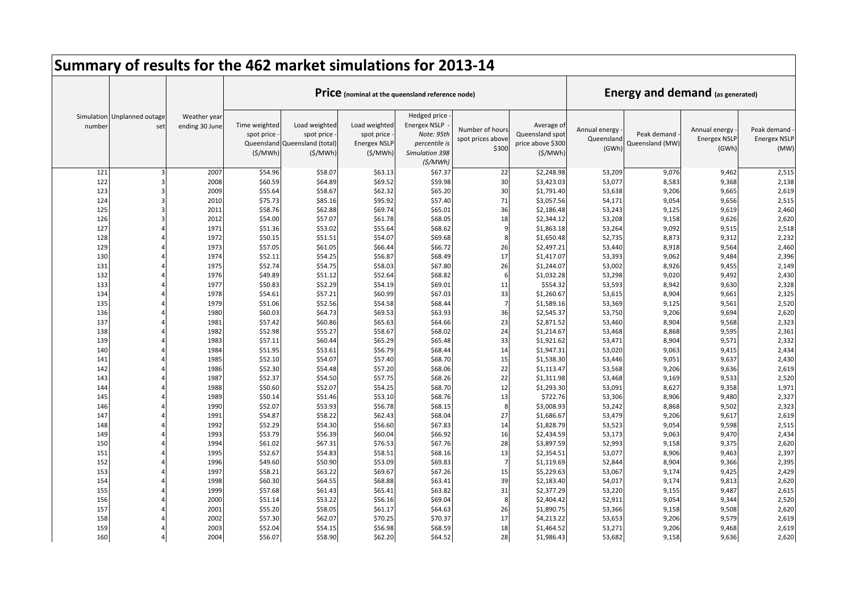|            |                                    |                                |                                        | Summary of results for the 462 market simulations for 2013-14           |                                                                |                                                                                                 |                                               |                                                               |                                      |                                         |                                               |                                            |
|------------|------------------------------------|--------------------------------|----------------------------------------|-------------------------------------------------------------------------|----------------------------------------------------------------|-------------------------------------------------------------------------------------------------|-----------------------------------------------|---------------------------------------------------------------|--------------------------------------|-----------------------------------------|-----------------------------------------------|--------------------------------------------|
|            |                                    |                                |                                        |                                                                         |                                                                | Price (nominal at the queensland reference node)                                                |                                               |                                                               |                                      | <b>Energy and demand (as generated)</b> |                                               |                                            |
| number     | Simulation Unplanned outage<br>set | Weather year<br>ending 30 June | Time weighted<br>spot price<br>(S/MWh) | Load weighted<br>spot price<br>Queensland Queensland (total)<br>(S/MWh) | Load weighted<br>spot price<br><b>Energex NSLP</b><br>(\$/MWh) | Hedged price<br><b>Energex NSLP</b><br>Note: 95th<br>percentile is<br>Simulation 398<br>(S/MWh) | Number of hours<br>spot prices above<br>\$300 | Average of<br>Queensland spot<br>price above \$300<br>(S/MWh) | Annual energy<br>Queensland<br>(GWh) | Peak demand<br>Queensland (MW)          | Annual energy<br><b>Energex NSLF</b><br>(GWh) | Peak demand<br><b>Energex NSLP</b><br>(MW) |
| 121        |                                    | 2007                           | \$54.96                                | \$58.07                                                                 | \$63.13                                                        | \$67.37                                                                                         | 22                                            | \$2,248.98                                                    | 53,209                               | 9,076                                   | 9,462                                         | 2,515                                      |
| 122        |                                    | 2008                           | \$60.59                                | \$64.89                                                                 | \$69.52                                                        | \$59.98                                                                                         | 30                                            | \$3,423.03                                                    | 53,077                               | 8,583                                   | 9,368                                         | 2,138                                      |
| 123        |                                    | 2009                           | \$55.64                                | \$58.67                                                                 | \$62.32                                                        | \$65.20                                                                                         | 30                                            | \$1,791.40                                                    | 53,638                               | 9,206                                   | 9,665                                         | 2,619                                      |
| 124        |                                    | 2010                           | \$75.73                                | \$85.16                                                                 | \$95.92                                                        | \$57.40                                                                                         | 71                                            | \$3,057.56                                                    | 54,171                               | 9,054                                   | 9,656                                         | 2,515                                      |
| 125        |                                    | 2011                           | \$58.76                                | \$62.88                                                                 | \$69.74                                                        | \$65.01                                                                                         | 36                                            | \$2,186.48                                                    | 53,243                               | 9,125                                   | 9,619                                         | 2,460                                      |
| 126        |                                    | 2012                           | \$54.00                                | \$57.07                                                                 | \$61.78                                                        | \$68.05                                                                                         | 18                                            | \$2,344.12                                                    | 53,208                               | 9,158                                   | 9,626                                         | 2,620                                      |
| 127        |                                    | 1971                           | \$51.36                                | \$53.02                                                                 | \$55.64                                                        | \$68.62                                                                                         | q                                             | \$1,863.18                                                    | 53,264                               | 9,092                                   | 9,515                                         | 2,518                                      |
| 128        |                                    | 1972                           | \$50.15                                | \$51.51                                                                 | \$54.07                                                        | \$69.68                                                                                         | 8                                             | \$1,650.48                                                    | 52,735                               | 8,873                                   | 9,312                                         | 2,232                                      |
| 129        |                                    | 1973                           | \$57.05                                | \$61.05                                                                 | \$66.44                                                        | \$66.72                                                                                         | 26                                            | \$2,497.21                                                    | 53,440                               | 8,918                                   | 9,564                                         | 2,460                                      |
| 130        |                                    | 1974                           | \$52.11                                | \$54.25                                                                 | \$56.87                                                        | \$68.49                                                                                         | 17                                            | \$1,417.07                                                    | 53,393                               | 9,062                                   | 9,484                                         | 2,396                                      |
| 131        |                                    | 1975                           | \$52.74                                | \$54.75                                                                 | \$58.03                                                        | \$67.80                                                                                         | 26                                            | \$1,244.07                                                    | 53,002                               | 8,926                                   | 9,455                                         | 2,149                                      |
| 132        |                                    | 1976                           | \$49.89                                | \$51.12                                                                 | \$52.64                                                        | \$68.82                                                                                         | 6                                             | \$1,032.28                                                    | 53,298                               | 9,020                                   | 9,492                                         | 2,430                                      |
| 133        |                                    | 1977                           | \$50.83                                | \$52.29                                                                 | \$54.19                                                        | \$69.01                                                                                         | 11                                            | \$554.32                                                      | 53,593                               | 8,942                                   | 9,630                                         | 2,328                                      |
| 134        |                                    | 1978                           | \$54.61                                | \$57.21                                                                 | \$60.99                                                        | \$67.03                                                                                         | 33                                            | \$1,260.67                                                    | 53,615                               | 8,904                                   | 9,661                                         | 2,325                                      |
| 135        |                                    | 1979                           | \$51.06                                | \$52.56                                                                 | \$54.58                                                        | \$68.44                                                                                         | $\overline{7}$                                | \$1,589.16                                                    | 53,369                               | 9,125                                   | 9,561                                         | 2,520                                      |
| 136        |                                    | 1980                           | \$60.03                                | \$64.73                                                                 | \$69.53                                                        | \$63.93                                                                                         | 36                                            | \$2,545.37                                                    | 53,750                               | 9,206                                   | 9,694                                         | 2,620                                      |
| 137        |                                    | 1981                           | \$57.42                                | \$60.86                                                                 | \$65.63                                                        | \$64.66                                                                                         | 23                                            | \$2,871.52                                                    | 53,460                               | 8,904                                   | 9,568                                         | 2,323                                      |
| 138        |                                    | 1982                           | \$52.98                                | \$55.27                                                                 | \$58.67                                                        | \$68.02                                                                                         | 24                                            | \$1,214.67                                                    | 53,468                               | 8,868                                   | 9,595                                         | 2,361                                      |
| 139        |                                    | 1983                           | \$57.11                                | \$60.44                                                                 | \$65.29                                                        | \$65.48                                                                                         | 33                                            | \$1,921.62                                                    | 53,471                               | 8,904                                   | 9,571                                         | 2,332                                      |
| 140        |                                    | 1984                           | \$51.95                                | \$53.61                                                                 | \$56.79                                                        | \$68.44                                                                                         | 14                                            | \$1,947.31                                                    | 53,020                               | 9,063                                   | 9,415                                         | 2,434                                      |
| 141<br>142 |                                    | 1985<br>1986                   | \$52.10<br>\$52.30                     | \$54.07<br>\$54.48                                                      | \$57.40<br>\$57.20                                             | \$68.70<br>\$68.06                                                                              | 15<br>22                                      | \$1,538.30<br>\$1,113.47                                      | 53,446<br>53,568                     | 9,051<br>9,206                          | 9,637<br>9,636                                | 2,430<br>2,619                             |
| 143        |                                    | 1987                           | \$52.37                                | \$54.50                                                                 | \$57.75                                                        | \$68.26                                                                                         | 22                                            | \$1,311.98                                                    | 53,468                               | 9,169                                   | 9,533                                         | 2,520                                      |
| 144        |                                    | 1988                           | \$50.60                                | \$52.07                                                                 | \$54.25                                                        | \$68.70                                                                                         | 12                                            | \$1,293.30                                                    | 53,091                               | 8,627                                   | 9,358                                         | 1,971                                      |
| 145        |                                    | 1989                           | \$50.14                                | \$51.46                                                                 | \$53.10                                                        | \$68.76                                                                                         | 13                                            | \$722.76                                                      | 53,306                               | 8,906                                   | 9,480                                         | 2,327                                      |
| 146        |                                    | 1990                           | \$52.07                                | \$53.93                                                                 | \$56.78                                                        | \$68.15                                                                                         | $\mathbf{g}$                                  | \$3,008.93                                                    | 53,242                               | 8,868                                   | 9,502                                         | 2,323                                      |
| 147        |                                    | 1991                           | \$54.87                                | \$58.22                                                                 | \$62.43                                                        | \$68.04                                                                                         | 27                                            | \$1,686.67                                                    | 53,479                               | 9,206                                   | 9,617                                         | 2,619                                      |
| 148        |                                    | 1992                           | \$52.29                                | \$54.30                                                                 | \$56.60                                                        | \$67.83                                                                                         | 14                                            | \$1,828.79                                                    | 53,523                               | 9,054                                   | 9,598                                         | 2,515                                      |
| 149        |                                    | 1993                           | \$53.79                                | \$56.39                                                                 | \$60.04                                                        | \$66.92                                                                                         | 16                                            | \$2,434.59                                                    | 53,173                               | 9,063                                   | 9,470                                         | 2,434                                      |
| 150        |                                    | 1994                           | \$61.02                                | \$67.31                                                                 | \$76.53                                                        | \$67.76                                                                                         | 28                                            | \$3,897.59                                                    | 52,993                               | 9,158                                   | 9,375                                         | 2,620                                      |
| 151        |                                    | 1995                           | \$52.67                                | \$54.83                                                                 | \$58.51                                                        | \$68.16                                                                                         | 13                                            | \$2,354.51                                                    | 53,077                               | 8,906                                   | 9,463                                         | 2,397                                      |
| 152        |                                    | 1996                           | \$49.60                                | \$50.90                                                                 | \$53.09                                                        | \$69.83                                                                                         | $\overline{7}$                                | \$1,119.69                                                    | 52,844                               | 8,904                                   | 9,366                                         | 2,395                                      |
| 153        |                                    | 1997                           | \$58.21                                | \$63.22                                                                 | \$69.67                                                        | \$67.26                                                                                         | 15                                            | \$5,229.63                                                    | 53,067                               | 9,174                                   | 9,425                                         | 2,429                                      |
| 154        |                                    | 1998                           | \$60.30                                | \$64.55                                                                 | \$68.88                                                        | \$63.41                                                                                         | 39                                            | \$2,183.40                                                    | 54,017                               | 9,174                                   | 9,813                                         | 2,620                                      |
| 155        |                                    | 1999                           | \$57.68                                | \$61.43                                                                 | \$65.41                                                        | \$63.82                                                                                         | 31                                            | \$2,377.29                                                    | 53,220                               | 9,155                                   | 9,487                                         | 2,615                                      |
| 156        |                                    | 2000                           | \$51.14                                | \$53.22                                                                 | \$56.16                                                        | \$69.04                                                                                         | -8                                            | \$2,404.42                                                    | 52,911                               | 9,054                                   | 9,344                                         | 2,520                                      |
| 157        |                                    | 2001                           | \$55.20                                | \$58.05                                                                 | \$61.17                                                        | \$64.63                                                                                         | 26                                            | \$1,890.75                                                    | 53,366                               | 9,158                                   | 9,508                                         | 2,620                                      |
| 158        |                                    | 2002                           | \$57.30                                | \$62.07                                                                 | \$70.25                                                        | \$70.37                                                                                         | 17                                            | \$4,213.22                                                    | 53,653                               | 9,206                                   | 9,579                                         | 2,619                                      |
| 159        |                                    | 2003                           | \$52.04                                | \$54.15                                                                 | \$56.98                                                        | \$68.59                                                                                         | 18                                            | \$1,464.52                                                    | 53,271                               | 9,206                                   | 9,468                                         | 2,619                                      |
| 160        |                                    | 2004                           | \$56.07                                | \$58.90                                                                 | \$62.20                                                        | \$64.52                                                                                         | 28                                            | \$1,986.43                                                    | 53,682                               | 9,158                                   | 9,636                                         | 2,620                                      |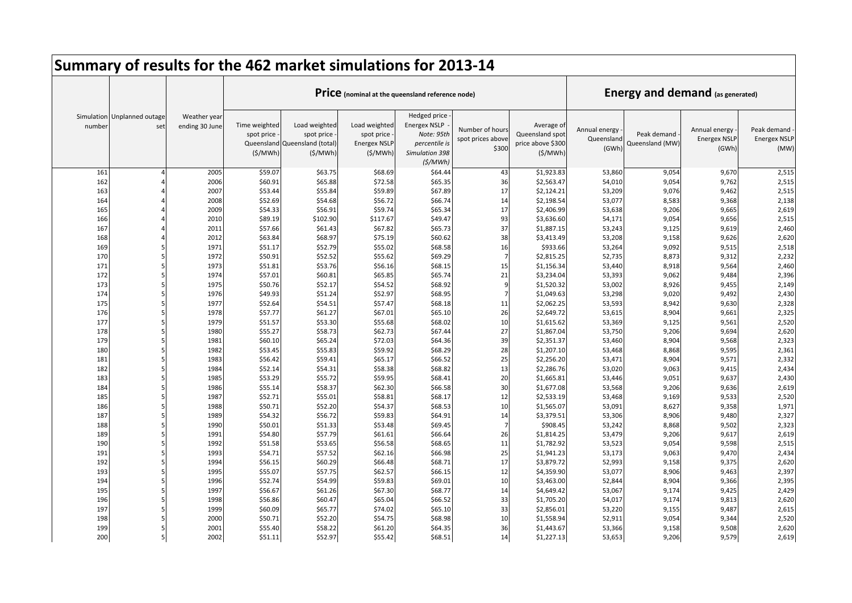|            |                                    |                                |                                                      | Summary of results for the 462 market simulations for 2013-14 |                                                               |                                                                                                 |                                               |                                                               |                                      |                                         |                                               |                                            |
|------------|------------------------------------|--------------------------------|------------------------------------------------------|---------------------------------------------------------------|---------------------------------------------------------------|-------------------------------------------------------------------------------------------------|-----------------------------------------------|---------------------------------------------------------------|--------------------------------------|-----------------------------------------|-----------------------------------------------|--------------------------------------------|
|            |                                    |                                |                                                      |                                                               |                                                               | Price (nominal at the queensland reference node)                                                |                                               |                                                               |                                      | <b>Energy and demand (as generated)</b> |                                               |                                            |
| number     | Simulation Unplanned outage<br>set | Weather year<br>ending 30 June | Time weighted<br>spot price<br>Queensland<br>(S/MWh) | Load weighted<br>spot price<br>Queensland (total)<br>(S/MWh)  | Load weighted<br>spot price<br><b>Energex NSLP</b><br>(S/MWh) | Hedged price<br><b>Energex NSLP</b><br>Note: 95th<br>percentile is<br>Simulation 398<br>(S/MWh) | Number of hours<br>spot prices above<br>\$300 | Average of<br>Queensland spot<br>price above \$300<br>(S/MWh) | Annual energy<br>Queensland<br>(GWh) | Peak demand<br>Queensland (MW)          | Annual energy<br><b>Energex NSLF</b><br>(GWh) | Peak demand<br><b>Energex NSLP</b><br>(MW) |
| 161        |                                    | 2005                           | \$59.07                                              | \$63.75                                                       | \$68.69                                                       | \$64.44                                                                                         | 43                                            | \$1,923.83                                                    | 53,860                               | 9,054                                   | 9,670                                         | 2,515                                      |
| 162        |                                    | 2006                           | \$60.91                                              | \$65.88                                                       | \$72.58                                                       | \$65.35                                                                                         | 36                                            | \$2,563.47                                                    | 54,010                               | 9,054                                   | 9,762                                         | 2,515                                      |
| 163        |                                    | 2007                           | \$53.44                                              | \$55.84                                                       | \$59.89                                                       | \$67.89                                                                                         | 17                                            | \$2,124.21                                                    | 53,209                               | 9,076                                   | 9,462                                         | 2,515                                      |
| 164        |                                    | 2008                           | \$52.69                                              | \$54.68                                                       | \$56.72                                                       | \$66.74                                                                                         | 14                                            | \$2,198.54                                                    | 53,077                               | 8,583                                   | 9,368                                         | 2,138                                      |
| 165        |                                    | 2009                           | \$54.33                                              | \$56.91                                                       | \$59.74                                                       | \$65.34                                                                                         | 17                                            | \$2,406.99                                                    | 53,638                               | 9,206                                   | 9,665                                         | 2,619                                      |
| 166        |                                    | 2010                           | \$89.19                                              | \$102.90                                                      | \$117.67                                                      | \$49.47                                                                                         | 93                                            | \$3,636.60                                                    | 54,171                               | 9,054                                   | 9,656                                         | 2,515                                      |
| 167        |                                    | 2011                           | \$57.66                                              | \$61.43                                                       | \$67.82                                                       | \$65.73                                                                                         | 37                                            | \$1,887.15                                                    | 53,243                               | 9,125                                   | 9,619                                         | 2,460                                      |
| 168        |                                    | 2012                           | \$63.84                                              | \$68.97                                                       | \$75.19                                                       | \$60.62                                                                                         | 38                                            | \$3,413.49                                                    | 53,208                               | 9,158                                   | 9,626                                         | 2,620                                      |
| 169        | 5                                  | 1971                           | \$51.17                                              | \$52.79                                                       | \$55.02                                                       | \$68.58                                                                                         | 16                                            | \$933.66                                                      | 53,264                               | 9,092                                   | 9,515                                         | 2,518                                      |
| 170        | 5                                  | 1972                           | \$50.91                                              | \$52.52                                                       | \$55.62                                                       | \$69.29                                                                                         | $\overline{7}$                                | \$2,815.25                                                    | 52,735                               | 8,873                                   | 9,312                                         | 2,232                                      |
| 171        | 5                                  | 1973                           | \$51.81                                              | \$53.76                                                       | \$56.16                                                       | \$68.15                                                                                         | 15                                            | \$1,156.34                                                    | 53,440                               | 8,918                                   | 9,564                                         | 2,460                                      |
| 172        | $\overline{5}$                     | 1974                           | \$57.01                                              | \$60.81                                                       | \$65.85                                                       | \$65.74                                                                                         | 21                                            | \$3,234.04                                                    | 53,393                               | 9,062                                   | 9,484                                         | 2,396                                      |
| 173        | 5                                  | 1975                           | \$50.76                                              | \$52.17                                                       | \$54.52                                                       | \$68.92                                                                                         | $\mathbf{q}$                                  | \$1,520.32                                                    | 53,002                               | 8,926                                   | 9,455                                         | 2,149                                      |
| 174        | 5                                  | 1976                           | \$49.93                                              | \$51.24                                                       | \$52.97                                                       | \$68.95                                                                                         |                                               | \$1,049.63                                                    | 53,298                               | 9,020                                   | 9,492                                         | 2,430                                      |
| 175<br>176 | 5<br>5                             | 1977<br>1978                   | \$52.64                                              | \$54.51                                                       | \$57.47                                                       | \$68.18                                                                                         | 11<br>26                                      | \$2,062.25                                                    | 53,593                               | 8,942                                   | 9,630                                         | 2,328                                      |
| 177        | 5                                  | 1979                           | \$57.77<br>\$51.57                                   | \$61.27<br>\$53.30                                            | \$67.01<br>\$55.68                                            | \$65.10<br>\$68.02                                                                              | 10                                            | \$2,649.72<br>\$1,615.62                                      | 53,615                               | 8,904<br>9,125                          | 9,661<br>9,561                                | 2,325<br>2,520                             |
| 178        | 5                                  | 1980                           | \$55.27                                              | \$58.73                                                       | \$62.73                                                       | \$67.44                                                                                         | 27                                            | \$1,867.04                                                    | 53,369<br>53,750                     | 9,206                                   | 9,694                                         | 2,620                                      |
| 179        | 5                                  | 1981                           | \$60.10                                              | \$65.24                                                       | \$72.03                                                       | \$64.36                                                                                         | 39                                            | \$2,351.37                                                    | 53,460                               | 8,904                                   | 9,568                                         | 2,323                                      |
| 180        | 5                                  | 1982                           | \$53.45                                              | \$55.83                                                       | \$59.92                                                       | \$68.29                                                                                         | 28                                            | \$1,207.10                                                    | 53,468                               | 8,868                                   | 9,595                                         | 2,361                                      |
| 181        | 5                                  | 1983                           | \$56.42                                              | \$59.41                                                       | \$65.17                                                       | \$66.52                                                                                         | 25                                            | \$2,256.20                                                    | 53,471                               | 8,904                                   | 9,571                                         | 2,332                                      |
| 182        |                                    | 1984                           | \$52.14                                              | \$54.31                                                       | \$58.38                                                       | \$68.82                                                                                         | 13                                            | \$2,286.76                                                    | 53,020                               | 9,063                                   | 9,415                                         | 2,434                                      |
| 183        | 5                                  | 1985                           | \$53.29                                              | \$55.72                                                       | \$59.95                                                       | \$68.41                                                                                         | 20                                            | \$1,665.81                                                    | 53,446                               | 9,051                                   | 9,637                                         | 2,430                                      |
| 184        | 5                                  | 1986                           | \$55.14                                              | \$58.37                                                       | \$62.30                                                       | \$66.58                                                                                         | 30                                            | \$1,677.08                                                    | 53,568                               | 9,206                                   | 9,636                                         | 2,619                                      |
| 185        | 5                                  | 1987                           | \$52.71                                              | \$55.01                                                       | \$58.81                                                       | \$68.17                                                                                         | 12                                            | \$2,533.19                                                    | 53,468                               | 9,169                                   | 9,533                                         | 2,520                                      |
| 186        | 5                                  | 1988                           | \$50.71                                              | \$52.20                                                       | \$54.37                                                       | \$68.53                                                                                         | 10                                            | \$1,565.07                                                    | 53,091                               | 8,627                                   | 9,358                                         | 1,971                                      |
| 187        | 5                                  | 1989                           | \$54.32                                              | \$56.72                                                       | \$59.83                                                       | \$64.91                                                                                         | 14                                            | \$3,379.51                                                    | 53,306                               | 8,906                                   | 9,480                                         | 2,327                                      |
| 188        | 5                                  | 1990                           | \$50.01                                              | \$51.33                                                       | \$53.48                                                       | \$69.45                                                                                         | $\overline{7}$                                | \$908.45                                                      | 53,242                               | 8,868                                   | 9,502                                         | 2,323                                      |
| 189        | 5                                  | 1991                           | \$54.80                                              | \$57.79                                                       | \$61.61                                                       | \$66.64                                                                                         | 26                                            | \$1,814.25                                                    | 53,479                               | 9,206                                   | 9,617                                         | 2,619                                      |
| 190        | 5                                  | 1992                           | \$51.58                                              | \$53.65                                                       | \$56.58                                                       | \$68.65                                                                                         | 11                                            | \$1,782.92                                                    | 53,523                               | 9,054                                   | 9,598                                         | 2,515                                      |
| 191        | 5                                  | 1993                           | \$54.71                                              | \$57.52                                                       | \$62.16                                                       | \$66.98                                                                                         | 25                                            | \$1,941.23                                                    | 53,173                               | 9,063                                   | 9,470                                         | 2,434                                      |
| 192        | $\overline{5}$                     | 1994                           | \$56.15                                              | \$60.29                                                       | \$66.48                                                       | \$68.71                                                                                         | 17                                            | \$3,879.72                                                    | 52,993                               | 9,158                                   | 9,375                                         | 2,620                                      |
| 193        | 5                                  | 1995                           | \$55.07                                              | \$57.75                                                       | \$62.57                                                       | \$66.15                                                                                         | 12                                            | \$4,359.90                                                    | 53,077                               | 8,906                                   | 9,463                                         | 2,397                                      |
| 194        | 5                                  | 1996                           | \$52.74                                              | \$54.99                                                       | \$59.83                                                       | \$69.01                                                                                         | 10                                            | \$3,463.00                                                    | 52,844                               | 8,904                                   | 9,366                                         | 2,395                                      |
| 195        | 5                                  | 1997                           | \$56.67                                              | \$61.26                                                       | \$67.30                                                       | \$68.77                                                                                         | 14                                            | \$4,649.42                                                    | 53,067                               | 9,174                                   | 9,425                                         | 2,429                                      |
| 196        | $\overline{5}$                     | 1998                           | \$56.86                                              | \$60.47                                                       | \$65.04                                                       | \$66.52                                                                                         | 33                                            | \$1,705.20                                                    | 54,017                               | 9,174                                   | 9,813                                         | 2,620                                      |
| 197        | 5                                  | 1999                           | \$60.09                                              | \$65.77                                                       | \$74.02                                                       | \$65.10                                                                                         | 33                                            | \$2,856.01                                                    | 53,220                               | 9,155                                   | 9,487                                         | 2,615                                      |
| 198        | 5                                  | 2000                           | \$50.71                                              | \$52.20                                                       | \$54.75                                                       | \$68.98                                                                                         | 10                                            | \$1,558.94                                                    | 52,911                               | 9,054                                   | 9,344                                         | 2,520                                      |
| 199        | 5                                  | 2001                           | \$55.40                                              | \$58.22                                                       | \$61.20                                                       | \$64.35                                                                                         | 36                                            | \$1,443.67                                                    | 53,366                               | 9,158                                   | 9,508                                         | 2,620                                      |
| 200        | 5                                  | 2002                           | \$51.11                                              | \$52.97                                                       | \$55.42                                                       | \$68.51                                                                                         | 14                                            | \$1,227.13                                                    | 53,653                               | 9,206                                   | 9,579                                         | 2,619                                      |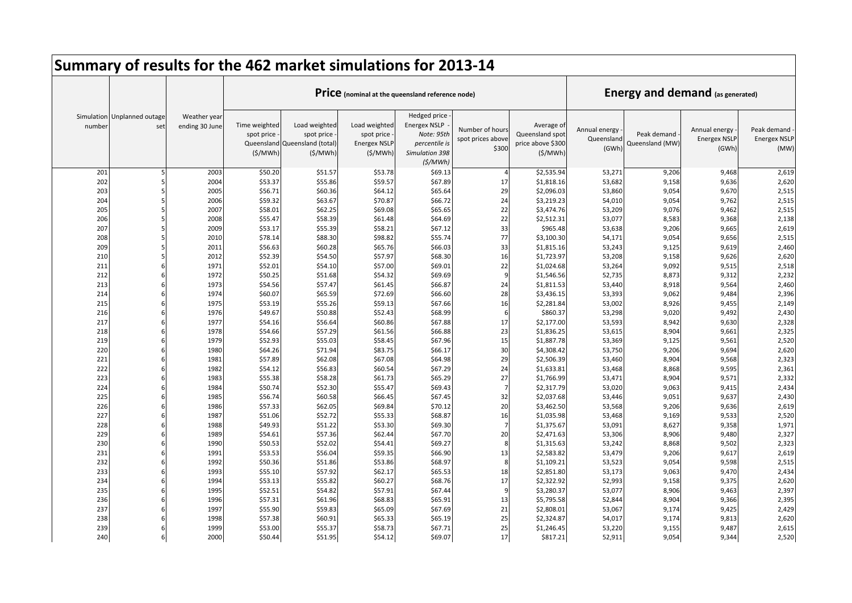|            |                                    |                                |                                        | Summary of results for the 462 market simulations for 2013-14           |                                                                |                                                                                                 |                                               |                                                               |                                      |                                         |                                               |                                            |
|------------|------------------------------------|--------------------------------|----------------------------------------|-------------------------------------------------------------------------|----------------------------------------------------------------|-------------------------------------------------------------------------------------------------|-----------------------------------------------|---------------------------------------------------------------|--------------------------------------|-----------------------------------------|-----------------------------------------------|--------------------------------------------|
|            |                                    |                                |                                        |                                                                         |                                                                | Price (nominal at the queensland reference node)                                                |                                               |                                                               |                                      | <b>Energy and demand (as generated)</b> |                                               |                                            |
| number     | Simulation Unplanned outage<br>set | Weather year<br>ending 30 June | Time weighted<br>spot price<br>(S/MWh) | Load weighted<br>spot price<br>Queensland Queensland (total)<br>(S/MWh) | Load weighted<br>spot price<br><b>Energex NSLP</b><br>(\$/MWh) | Hedged price<br><b>Energex NSLP</b><br>Note: 95th<br>percentile is<br>Simulation 398<br>(S/MWh) | Number of hours<br>spot prices above<br>\$300 | Average of<br>Queensland spot<br>price above \$300<br>(S/MWh) | Annual energy<br>Queensland<br>(GWh) | Peak demand<br>Queensland (MW)          | Annual energy<br><b>Energex NSLF</b><br>(GWh) | Peak demand<br><b>Energex NSLP</b><br>(MW) |
| 201        |                                    | 2003                           | \$50.20                                | \$51.57                                                                 | \$53.78                                                        | \$69.13                                                                                         |                                               | \$2,535.94                                                    | 53,271                               | 9,206                                   | 9,468                                         | 2,619                                      |
| 202        |                                    | 2004                           | \$53.37                                | \$55.86                                                                 | \$59.57                                                        | \$67.89                                                                                         | 17                                            | \$1,818.16                                                    | 53,682                               | 9,158                                   | 9,636                                         | 2,620                                      |
| 203        |                                    | 2005                           | \$56.71                                | \$60.36                                                                 | \$64.12                                                        | \$65.64                                                                                         | 29                                            | \$2,096.03                                                    | 53,860                               | 9,054                                   | 9,670                                         | 2,515                                      |
| 204        |                                    | 2006                           | \$59.32                                | \$63.67                                                                 | \$70.87                                                        | \$66.72                                                                                         | 24                                            | \$3,219.23                                                    | 54,010                               | 9,054                                   | 9,762                                         | 2,515                                      |
| 205        |                                    | 2007                           | \$58.01                                | \$62.25                                                                 | \$69.08                                                        | \$65.65                                                                                         | 22                                            | \$3,474.76                                                    | 53,209                               | 9,076                                   | 9,462                                         | 2,515                                      |
| 206        |                                    | 2008                           | \$55.47                                | \$58.39                                                                 | \$61.48                                                        | \$64.69                                                                                         | 22                                            | \$2,512.31                                                    | 53,077                               | 8,583                                   | 9,368                                         | 2,138                                      |
| 207        |                                    | 2009                           | \$53.17                                | \$55.39                                                                 | \$58.21                                                        | \$67.12                                                                                         | 33                                            | \$965.48                                                      | 53,638                               | 9,206                                   | 9,665                                         | 2,619                                      |
| 208        |                                    | 2010                           | \$78.14                                | \$88.30                                                                 | \$98.82                                                        | \$55.74                                                                                         | 77                                            | \$3,100.30                                                    | 54,171                               | 9,054                                   | 9,656                                         | 2,515                                      |
| 209        |                                    | 2011                           | \$56.63                                | \$60.28                                                                 | \$65.76                                                        | \$66.03                                                                                         | 33                                            | \$1,815.16                                                    | 53,243                               | 9,125                                   | 9,619                                         | 2,460                                      |
| 210        |                                    | 2012                           | \$52.39                                | \$54.50                                                                 | \$57.97                                                        | \$68.30                                                                                         | 16                                            | \$1,723.97                                                    | 53,208                               | 9,158                                   | 9,626                                         | 2,620                                      |
| 211        |                                    | 1971                           | \$52.01                                | \$54.10                                                                 | \$57.00                                                        | \$69.01                                                                                         | 22                                            | \$1,024.68                                                    | 53,264                               | 9,092                                   | 9,515                                         | 2,518                                      |
| 212        |                                    | 1972                           | \$50.25                                | \$51.68                                                                 | \$54.32                                                        | \$69.69                                                                                         | $\mathbf{q}$                                  | \$1,546.56                                                    | 52,735                               | 8,873                                   | 9,312                                         | 2,232                                      |
| 213        |                                    | 1973                           | \$54.56                                | \$57.47                                                                 | \$61.45                                                        | \$66.87                                                                                         | 24                                            | \$1,811.53                                                    | 53,440                               | 8,918                                   | 9,564                                         | 2,460                                      |
| 214        |                                    | 1974                           | \$60.07                                | \$65.59                                                                 | \$72.69                                                        | \$66.60                                                                                         | 28                                            | \$3,436.15                                                    | 53,393                               | 9,062                                   | 9,484                                         | 2,396                                      |
| 215        |                                    | 1975                           | \$53.19                                | \$55.26                                                                 | \$59.13                                                        | \$67.66                                                                                         | 16                                            | \$2,281.84                                                    | 53,002                               | 8,926                                   | 9,455                                         | 2,149                                      |
| 216        |                                    | 1976                           | \$49.67                                | \$50.88                                                                 | \$52.43                                                        | \$68.99                                                                                         | 6                                             | \$860.37                                                      | 53,298                               | 9,020                                   | 9,492                                         | 2,430                                      |
| 217        |                                    | 1977                           | \$54.16                                | \$56.64                                                                 | \$60.86                                                        | \$67.88                                                                                         | 17                                            | \$2,177.00                                                    | 53,593                               | 8,942                                   | 9,630                                         | 2,328                                      |
| 218        |                                    | 1978                           | \$54.66                                | \$57.29                                                                 | \$61.56                                                        | \$66.88                                                                                         | 23                                            | \$1,836.25                                                    | 53,615                               | 8,904                                   | 9,661                                         | 2,325                                      |
| 219        |                                    | 1979                           | \$52.93                                | \$55.03                                                                 | \$58.45                                                        | \$67.96                                                                                         | 15                                            | \$1,887.78                                                    | 53,369                               | 9,125                                   | 9,561                                         | 2,520                                      |
| 220        |                                    | 1980                           | \$64.26                                | \$71.94                                                                 | \$83.75                                                        | \$66.17                                                                                         | 30                                            | \$4,308.42                                                    | 53,750                               | 9,206                                   | 9,694                                         | 2,620                                      |
| 221        |                                    | 1981                           | \$57.89                                | \$62.08                                                                 | \$67.08                                                        | \$64.98                                                                                         | 29                                            | \$2,506.39                                                    | 53,460                               | 8,904                                   | 9,568                                         | 2,323                                      |
| 222        |                                    | 1982                           | \$54.12                                | \$56.83                                                                 | \$60.54                                                        | \$67.29                                                                                         | 24                                            | \$1,633.81                                                    | 53,468                               | 8,868                                   | 9,595                                         | 2,361                                      |
| 223        |                                    | 1983                           | \$55.38                                | \$58.28                                                                 | \$61.73                                                        | \$65.29                                                                                         | 27<br>$\overline{7}$                          | \$1,766.99                                                    | 53,471                               | 8,904                                   | 9,571                                         | 2,332                                      |
| 224<br>225 |                                    | 1984<br>1985                   | \$50.74<br>\$56.74                     | \$52.30<br>\$60.58                                                      | \$55.47                                                        | \$69.43                                                                                         | 32                                            | \$2,317.79                                                    | 53,020                               | 9,063                                   | 9,415<br>9,637                                | 2,434<br>2,430                             |
| 226        |                                    |                                | \$57.33                                |                                                                         | \$66.45                                                        | \$67.45                                                                                         | 20                                            | \$2,037.68                                                    | 53,446                               | 9,051                                   |                                               |                                            |
| 227        |                                    | 1986<br>1987                   | \$51.06                                | \$62.05<br>\$52.72                                                      | \$69.84<br>\$55.33                                             | \$70.12<br>\$68.87                                                                              | 16                                            | \$3,462.50<br>\$1,035.98                                      | 53,568<br>53,468                     | 9,206<br>9,169                          | 9,636<br>9,533                                | 2,619<br>2,520                             |
| 228        |                                    | 1988                           | \$49.93                                | \$51.22                                                                 | \$53.30                                                        | \$69.30                                                                                         |                                               | \$1,375.67                                                    | 53,091                               | 8,627                                   | 9,358                                         | 1,971                                      |
| 229        |                                    | 1989                           | \$54.61                                | \$57.36                                                                 | \$62.44                                                        | \$67.70                                                                                         | 20                                            | \$2,471.63                                                    | 53,306                               | 8,906                                   | 9,480                                         | 2,327                                      |
| 230        |                                    | 1990                           | \$50.53                                | \$52.02                                                                 | \$54.41                                                        | \$69.27                                                                                         | 8                                             | \$1,315.63                                                    | 53,242                               | 8,868                                   | 9,502                                         | 2,323                                      |
| 231        |                                    | 1991                           | \$53.53                                | \$56.04                                                                 | \$59.35                                                        | \$66.90                                                                                         | 13                                            | \$2,583.82                                                    | 53,479                               | 9,206                                   | 9,617                                         | 2,619                                      |
| 232        |                                    | 1992                           | \$50.36                                | \$51.86                                                                 | \$53.86                                                        | \$68.97                                                                                         | 8                                             | \$1,109.21                                                    | 53,523                               | 9,054                                   | 9,598                                         | 2,515                                      |
| 233        |                                    | 1993                           | \$55.10                                | \$57.92                                                                 | \$62.17                                                        | \$65.53                                                                                         | 18                                            | \$2,851.80                                                    | 53,173                               | 9,063                                   | 9,470                                         | 2,434                                      |
| 234        |                                    | 1994                           | \$53.13                                | \$55.82                                                                 | \$60.27                                                        | \$68.76                                                                                         | 17                                            | \$2,322.92                                                    | 52,993                               | 9,158                                   | 9,375                                         | 2,620                                      |
| 235        |                                    | 1995                           | \$52.51                                | \$54.82                                                                 | \$57.91                                                        | \$67.44                                                                                         | 9                                             | \$3,280.37                                                    | 53,077                               | 8,906                                   | 9,463                                         | 2,397                                      |
| 236        |                                    | 1996                           | \$57.31                                | \$61.96                                                                 | \$68.83                                                        | \$65.91                                                                                         | 13                                            | \$5,795.58                                                    | 52,844                               | 8,904                                   | 9,366                                         | 2,395                                      |
| 237        |                                    | 1997                           | \$55.90                                | \$59.83                                                                 | \$65.09                                                        | \$67.69                                                                                         | 21                                            | \$2,808.01                                                    | 53,067                               | 9,174                                   | 9,425                                         | 2,429                                      |
| 238        |                                    | 1998                           | \$57.38                                | \$60.91                                                                 | \$65.33                                                        | \$65.19                                                                                         | 25                                            | \$2,324.87                                                    | 54,017                               | 9,174                                   | 9,813                                         | 2,620                                      |
| 239        |                                    | 1999                           | \$53.00                                | \$55.37                                                                 | \$58.73                                                        | \$67.71                                                                                         | 25                                            | \$1,246.45                                                    | 53,220                               | 9,155                                   | 9,487                                         | 2,615                                      |
| 240        |                                    | 2000                           | \$50.44                                | \$51.95                                                                 | \$54.12                                                        | \$69.07                                                                                         | 17                                            | \$817.21                                                      | 52,911                               | 9,054                                   | 9,344                                         | 2,520                                      |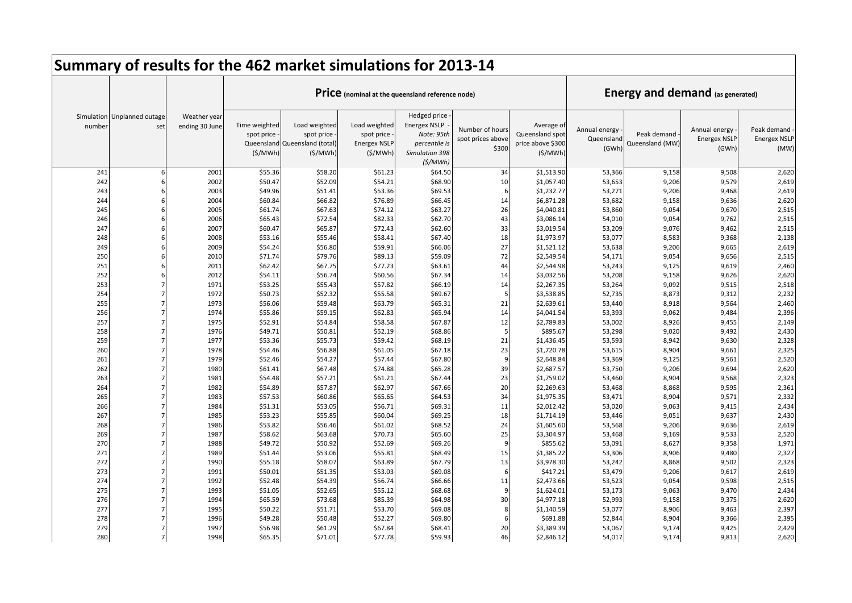|            |                                    |                                |                                        | Summary of results for the 462 market simulations for 2013-14           |                                                                |                                                                                                 |                                               |                                                               |                                      |                                         |                                               |                                            |
|------------|------------------------------------|--------------------------------|----------------------------------------|-------------------------------------------------------------------------|----------------------------------------------------------------|-------------------------------------------------------------------------------------------------|-----------------------------------------------|---------------------------------------------------------------|--------------------------------------|-----------------------------------------|-----------------------------------------------|--------------------------------------------|
|            |                                    |                                |                                        |                                                                         |                                                                | Price (nominal at the queensland reference node)                                                |                                               |                                                               |                                      | <b>Energy and demand (as generated)</b> |                                               |                                            |
| number     | Simulation Unplanned outage<br>set | Weather year<br>ending 30 June | Time weighted<br>spot price<br>(S/MWh) | Load weighted<br>spot price<br>Queensland Queensland (total)<br>(S/MWh) | Load weighted<br>spot price<br><b>Energex NSLP</b><br>(\$/MWh) | Hedged price<br><b>Energex NSLP</b><br>Note: 95th<br>percentile is<br>Simulation 398<br>(S/MWh) | Number of hours<br>spot prices above<br>\$300 | Average of<br>Queensland spot<br>price above \$300<br>(S/MWh) | Annual energy<br>Queensland<br>(GWh) | Peak demand<br>Queensland (MW)          | Annual energy<br><b>Energex NSLF</b><br>(GWh) | Peak demand<br><b>Energex NSLP</b><br>(MW) |
| 241        |                                    | 2001                           | \$55.36                                | \$58.20                                                                 | \$61.23                                                        | \$64.50                                                                                         | 34                                            | \$1,513.90                                                    | 53,366                               | 9,158                                   | 9,508                                         | 2,620                                      |
| 242        |                                    | 2002                           | \$50.47                                | \$52.09                                                                 | \$54.21                                                        | \$68.90                                                                                         | 10                                            | \$1,057.40                                                    | 53,653                               | 9,206                                   | 9,579                                         | 2,619                                      |
| 243        |                                    | 2003                           | \$49.96                                | \$51.41                                                                 | \$53.36                                                        | \$69.53                                                                                         | 6                                             | \$1,232.77                                                    | 53,271                               | 9,206                                   | 9,468                                         | 2,619                                      |
| 244        |                                    | 2004                           | \$60.84                                | \$66.82                                                                 | \$76.89                                                        | \$66.45                                                                                         | 14                                            | \$6,871.28                                                    | 53,682                               | 9,158                                   | 9,636                                         | 2,620                                      |
| 245        |                                    | 2005                           | \$61.74                                | \$67.63                                                                 | \$74.12                                                        | \$63.27                                                                                         | 26                                            | \$4,040.81                                                    | 53,860                               | 9,054                                   | 9,670                                         | 2,515                                      |
| 246        |                                    | 2006                           | \$65.43                                | \$72.54                                                                 | \$82.33                                                        | \$62.70                                                                                         | 43                                            | \$3,086.14                                                    | 54,010                               | 9,054                                   | 9,762                                         | 2,515                                      |
| 247        |                                    | 2007                           | \$60.47                                | \$65.87                                                                 | \$72.43                                                        | \$62.60                                                                                         | 33                                            | \$3,019.54                                                    | 53,209                               | 9,076                                   | 9,462                                         | 2,515                                      |
| 248        |                                    | 2008                           | \$53.16                                | \$55.46                                                                 | \$58.41                                                        | \$67.40                                                                                         | 18                                            | \$1,973.97                                                    | 53,077                               | 8,583                                   | 9,368                                         | 2,138                                      |
| 249        |                                    | 2009                           | \$54.24                                | \$56.80                                                                 | \$59.91                                                        | \$66.06                                                                                         | 27                                            | \$1,521.12                                                    | 53,638                               | 9,206                                   | 9,665                                         | 2,619                                      |
| 250        |                                    | 2010                           | \$71.74                                | \$79.76                                                                 | \$89.13                                                        | \$59.09                                                                                         | 72                                            | \$2,549.54                                                    | 54,171                               | 9,054                                   | 9,656                                         | 2,515                                      |
| 251        |                                    | 2011                           | \$62.42                                | \$67.75                                                                 | \$77.23                                                        | \$63.61                                                                                         | 44                                            | \$2,544.98                                                    | 53,243                               | 9,125                                   | 9,619                                         | 2,460                                      |
| 252        |                                    | 2012                           | \$54.11                                | \$56.74                                                                 | \$60.56                                                        | \$67.34                                                                                         | 14                                            | \$3,032.56                                                    | 53,208                               | 9,158                                   | 9,626                                         | 2,620                                      |
| 253        |                                    | 1971                           | \$53.25                                | \$55.43                                                                 | \$57.82                                                        | \$66.19                                                                                         | 14                                            | \$2,267.35                                                    | 53,264                               | 9,092                                   | 9,515                                         | 2,518                                      |
| 254        |                                    | 1972                           | \$50.73                                | \$52.32                                                                 | \$55.58                                                        | \$69.67                                                                                         | 5                                             | \$3,538.85                                                    | 52,735                               | 8,873                                   | 9,312                                         | 2,232                                      |
| 255        |                                    | 1973                           | \$56.06                                | \$59.48                                                                 | \$63.79                                                        | \$65.31                                                                                         | 21                                            | \$2,639.61                                                    | 53,440                               | 8,918                                   | 9,564                                         | 2,460                                      |
| 256        |                                    | 1974                           | \$55.86                                | \$59.15                                                                 | \$62.83                                                        | \$65.94                                                                                         | 14                                            | \$4,041.54                                                    | 53,393                               | 9,062                                   | 9,484                                         | 2,396                                      |
| 257        |                                    | 1975                           | \$52.91                                | \$54.84                                                                 | \$58.58                                                        | \$67.87                                                                                         | 12                                            | \$2,789.83                                                    | 53,002                               | 8,926                                   | 9,455                                         | 2,149                                      |
| 258        |                                    | 1976                           | \$49.71                                | \$50.81                                                                 | \$52.19                                                        | \$68.86                                                                                         | 5                                             | \$895.67                                                      | 53,298                               | 9,020                                   | 9,492                                         | 2,430                                      |
| 259        |                                    | 1977                           | \$53.36                                | \$55.73                                                                 | \$59.42                                                        | \$68.19                                                                                         | 21                                            | \$1,436.45                                                    | 53,593                               | 8,942                                   | 9,630                                         | 2,328                                      |
| 260        |                                    | 1978                           | \$54.46                                | \$56.88                                                                 | \$61.05                                                        | \$67.18                                                                                         | 23                                            | \$1,720.78                                                    | 53,615                               | 8,904                                   | 9,661                                         | 2,325                                      |
| 261        |                                    | 1979                           | \$52.46                                | \$54.27                                                                 | \$57.44                                                        | \$67.80                                                                                         | 9                                             | \$2,648.84                                                    | 53,369                               | 9,125                                   | 9,561                                         | 2,520                                      |
| 262        |                                    | 1980                           | \$61.41                                | \$67.48                                                                 | \$74.88                                                        | \$65.28                                                                                         | 39                                            | \$2,687.57                                                    | 53,750                               | 9,206                                   | 9,694                                         | 2,620                                      |
| 263        |                                    | 1981                           | \$54.48                                | \$57.21                                                                 | \$61.21                                                        | \$67.44                                                                                         | 23                                            | \$1,759.02                                                    | 53,460                               | 8,904                                   | 9,568                                         | 2,323                                      |
| 264        |                                    | 1982                           | \$54.89                                | \$57.87                                                                 | \$62.97                                                        | \$67.66                                                                                         | 20<br>34                                      | \$2,269.63                                                    | 53,468                               | 8,868                                   | 9,595                                         | 2,361                                      |
| 265        |                                    | 1983                           | \$57.53                                | \$60.86                                                                 | \$65.65                                                        | \$64.53                                                                                         | 11                                            | \$1,975.35                                                    | 53,471                               | 8,904                                   | 9,571                                         | 2,332                                      |
| 266        |                                    | 1984                           | \$51.31                                | \$53.05                                                                 | \$56.71                                                        | \$69.31                                                                                         |                                               | \$2,012.42                                                    | 53,020                               | 9,063                                   | 9,415                                         | 2,434                                      |
| 267<br>268 |                                    | 1985<br>1986                   | \$53.23<br>\$53.82                     | \$55.85<br>\$56.46                                                      | \$60.04<br>\$61.02                                             | \$69.25<br>\$68.52                                                                              | 18<br>24                                      | \$1,714.19<br>\$1,605.60                                      | 53,446<br>53,568                     | 9,051<br>9,206                          | 9,637<br>9,636                                | 2,430<br>2,619                             |
| 269        |                                    | 1987                           | \$58.62                                | \$63.68                                                                 | \$70.73                                                        | \$65.60                                                                                         | 25                                            | \$3,304.97                                                    | 53,468                               | 9,169                                   | 9,533                                         | 2,520                                      |
| 270        |                                    | 1988                           | \$49.72                                | \$50.92                                                                 | \$52.69                                                        | \$69.26                                                                                         | 9                                             | \$855.62                                                      | 53,091                               | 8,627                                   | 9,358                                         | 1,971                                      |
| 271        |                                    | 1989                           | \$51.44                                | \$53.06                                                                 | \$55.81                                                        | \$68.49                                                                                         | 15                                            | \$1,385.22                                                    | 53,306                               | 8,906                                   | 9,480                                         | 2,327                                      |
| 272        |                                    | 1990                           | \$55.18                                | \$58.07                                                                 | \$63.89                                                        | \$67.79                                                                                         | 13                                            | \$3,978.30                                                    | 53,242                               | 8,868                                   | 9,502                                         | 2,323                                      |
| 273        |                                    | 1991                           | \$50.01                                | \$51.35                                                                 | \$53.03                                                        | \$69.08                                                                                         | 6                                             | \$417.21                                                      | 53,479                               | 9,206                                   | 9,617                                         | 2,619                                      |
| 274        |                                    | 1992                           | \$52.48                                | \$54.39                                                                 | \$56.74                                                        | \$66.66                                                                                         | 11                                            | \$2,473.66                                                    | 53,523                               | 9,054                                   | 9,598                                         | 2,515                                      |
| 275        |                                    | 1993                           | \$51.05                                | \$52.65                                                                 | \$55.12                                                        | \$68.68                                                                                         | 9                                             | \$1,624.01                                                    | 53,173                               | 9,063                                   | 9,470                                         | 2,434                                      |
| 276        |                                    | 1994                           | \$65.59                                | \$73.68                                                                 | \$85.39                                                        | \$64.98                                                                                         | 30                                            | \$4,977.18                                                    | 52,993                               | 9,158                                   | 9,375                                         | 2,620                                      |
| 277        |                                    | 1995                           | \$50.22                                | \$51.71                                                                 | \$53.70                                                        | \$69.08                                                                                         | 8                                             | \$1,140.59                                                    | 53,077                               | 8,906                                   | 9,463                                         | 2,397                                      |
| 278        |                                    | 1996                           | \$49.28                                | \$50.48                                                                 | \$52.27                                                        | \$69.80                                                                                         | 6                                             | \$691.88                                                      | 52,844                               | 8,904                                   | 9,366                                         | 2,395                                      |
| 279        |                                    | 1997                           | \$56.98                                | \$61.29                                                                 | \$67.84                                                        | \$68.41                                                                                         | 20                                            | \$3,389.39                                                    | 53,067                               | 9,174                                   | 9,425                                         | 2,429                                      |
| 280        |                                    | 1998                           | \$65.35                                | \$71.01                                                                 | \$77.78                                                        | \$59.93                                                                                         | 46                                            | \$2,846.12                                                    | 54,017                               | 9,174                                   | 9,813                                         | 2,620                                      |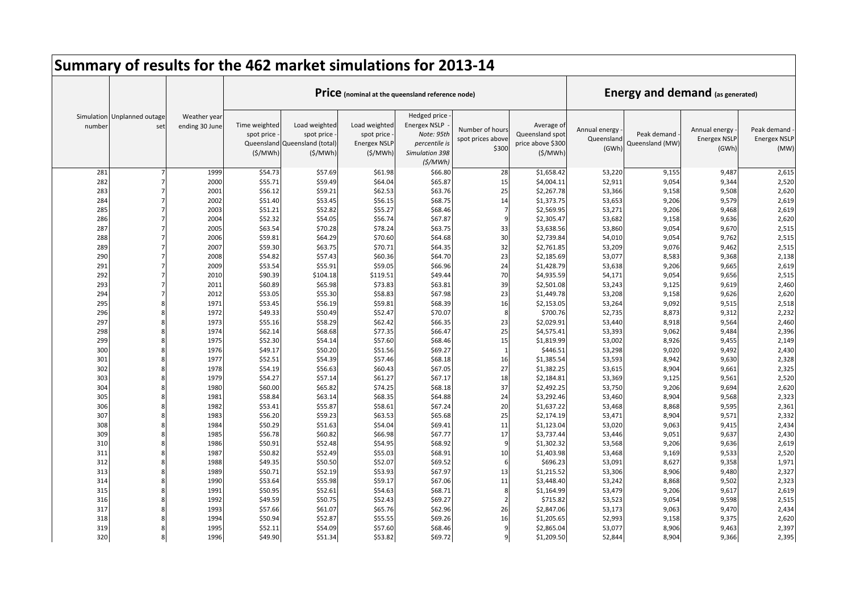|            |                                    |                                |                                        | Summary of results for the 462 market simulations for 2013-14           |                                                               |                                                                                      |                                               |                                                               |                                      |                                         |                                               |                                            |
|------------|------------------------------------|--------------------------------|----------------------------------------|-------------------------------------------------------------------------|---------------------------------------------------------------|--------------------------------------------------------------------------------------|-----------------------------------------------|---------------------------------------------------------------|--------------------------------------|-----------------------------------------|-----------------------------------------------|--------------------------------------------|
|            |                                    |                                |                                        |                                                                         |                                                               | Price (nominal at the queensland reference node)                                     |                                               |                                                               |                                      | <b>Energy and demand (as generated)</b> |                                               |                                            |
| number     | Simulation Unplanned outage<br>set | Weather year<br>ending 30 June | Time weighted<br>spot price<br>(S/MWh) | Load weighted<br>spot price<br>Queensland Queensland (total)<br>(S/MWh) | Load weighted<br>spot price<br><b>Energex NSLP</b><br>(S/MWh) | Hedged price<br><b>Energex NSLP</b><br>Note: 95th<br>percentile is<br>Simulation 398 | Number of hours<br>spot prices above<br>\$300 | Average of<br>Queensland spot<br>price above \$300<br>(S/MWh) | Annual energy<br>Queensland<br>(GWh) | Peak demand<br>Queensland (MW)          | Annual energy<br><b>Energex NSLF</b><br>(GWh) | Peak demand<br><b>Energex NSLP</b><br>(MW) |
| 281        |                                    | 1999                           | \$54.73                                | \$57.69                                                                 | \$61.98                                                       | (S/MWh)<br>\$66.80                                                                   | 28                                            | \$1,658.42                                                    | 53,220                               | 9,155                                   | 9,487                                         | 2,615                                      |
| 282        |                                    | 2000                           | \$55.71                                | \$59.49                                                                 | \$64.04                                                       | \$65.87                                                                              | 15                                            | \$4,004.11                                                    | 52,911                               | 9,054                                   | 9,344                                         | 2,520                                      |
| 283        |                                    | 2001                           | \$56.12                                | \$59.21                                                                 | \$62.53                                                       | \$63.76                                                                              | 25                                            | \$2,267.78                                                    | 53,366                               | 9,158                                   | 9,508                                         | 2,620                                      |
| 284        |                                    | 2002                           | \$51.40                                | \$53.45                                                                 | \$56.15                                                       | \$68.75                                                                              | 14                                            | \$1,373.75                                                    | 53,653                               | 9,206                                   | 9,579                                         | 2,619                                      |
| 285        |                                    | 2003                           | \$51.21                                | \$52.82                                                                 | \$55.27                                                       | \$68.46                                                                              | $\overline{7}$                                | \$2,569.95                                                    | 53,271                               | 9,206                                   | 9,468                                         | 2,619                                      |
| 286        |                                    | 2004                           | \$52.32                                | \$54.05                                                                 | \$56.74                                                       | \$67.87                                                                              | 9                                             | \$2,305.47                                                    | 53,682                               | 9,158                                   | 9,636                                         | 2,620                                      |
| 287        |                                    | 2005                           | \$63.54                                | \$70.28                                                                 | \$78.24                                                       | \$63.75                                                                              | 33                                            | \$3,638.56                                                    | 53,860                               | 9,054                                   | 9,670                                         | 2,515                                      |
| 288        |                                    | 2006                           | \$59.81                                | \$64.29                                                                 | \$70.60                                                       | \$64.68                                                                              | 30                                            | \$2,739.84                                                    | 54,010                               | 9,054                                   | 9,762                                         | 2,515                                      |
| 289        |                                    | 2007                           | \$59.30                                | \$63.75                                                                 | \$70.71                                                       | \$64.35                                                                              | 32                                            | \$2,761.85                                                    | 53,209                               | 9,076                                   | 9,462                                         | 2,515                                      |
| 290        |                                    | 2008                           | \$54.82                                | \$57.43                                                                 | \$60.36                                                       | \$64.70                                                                              | 23                                            | \$2,185.69                                                    | 53,077                               | 8,583                                   | 9,368                                         | 2,138                                      |
| 291        |                                    | 2009                           | \$53.54                                | \$55.91                                                                 | \$59.05                                                       | \$66.96                                                                              | 24                                            | \$1,428.79                                                    | 53,638                               | 9,206                                   | 9,665                                         | 2,619                                      |
| 292        |                                    | 2010                           | \$90.39                                | \$104.18                                                                | \$119.51                                                      | \$49.44                                                                              | 70                                            | \$4,935.59                                                    | 54,171                               | 9,054                                   | 9,656                                         | 2,515                                      |
| 293        |                                    | 2011                           | \$60.89                                | \$65.98                                                                 | \$73.83                                                       | \$63.81                                                                              | 39                                            | \$2,501.08                                                    | 53,243                               | 9,125                                   | 9,619                                         | 2,460                                      |
| 294        |                                    | 2012                           | \$53.05                                | \$55.30                                                                 | \$58.83                                                       | \$67.98                                                                              | 23                                            | \$1,449.78                                                    | 53,208                               | 9,158                                   | 9,626                                         | 2,620                                      |
| 295        |                                    | 1971                           | \$53.45                                | \$56.19                                                                 | \$59.81                                                       | \$68.39                                                                              | 16                                            | \$2,153.05                                                    | 53,264                               | 9,092                                   | 9,515                                         | 2,518                                      |
| 296        |                                    | 1972                           | \$49.33                                | \$50.49                                                                 | \$52.47                                                       | \$70.07                                                                              | -8                                            | \$700.76                                                      | 52,735                               | 8,873                                   | 9,312                                         | 2,232                                      |
| 297        |                                    | 1973                           | \$55.16                                | \$58.29                                                                 | \$62.42                                                       | \$66.35                                                                              | 23                                            | \$2,029.91                                                    | 53,440                               | 8,918                                   | 9,564                                         | 2,460                                      |
| 298        |                                    | 1974                           | \$62.14                                | \$68.68                                                                 | \$77.35                                                       | \$66.47                                                                              | 25                                            | \$4,575.41                                                    | 53,393                               | 9,062                                   | 9,484                                         | 2,396                                      |
| 299        |                                    | 1975                           | \$52.30                                | \$54.14                                                                 | \$57.60                                                       | \$68.46                                                                              | 15                                            | \$1,819.99                                                    | 53,002                               | 8,926                                   | 9,455                                         | 2,149                                      |
| 300        |                                    | 1976                           | \$49.17                                | \$50.20                                                                 | \$51.56                                                       | \$69.27                                                                              | $\overline{1}$                                | \$446.51                                                      | 53,298                               | 9,020                                   | 9,492                                         | 2,430                                      |
| 301        |                                    | 1977                           | \$52.51                                | \$54.39                                                                 | \$57.46                                                       | \$68.18                                                                              | 16                                            | \$1,385.54                                                    | 53,593                               | 8,942                                   | 9,630                                         | 2,328                                      |
| 302        |                                    | 1978                           | \$54.19                                | \$56.63                                                                 | \$60.43                                                       | \$67.05                                                                              | 27                                            | \$1,382.25                                                    | 53,615                               | 8,904                                   | 9,661                                         | 2,325                                      |
| 303        |                                    | 1979                           | \$54.27                                | \$57.14                                                                 | \$61.27                                                       | \$67.17                                                                              | 18                                            | \$2,184.81                                                    | 53,369                               | 9,125                                   | 9,561                                         | 2,520                                      |
| 304        |                                    | 1980                           | \$60.00                                | \$65.82                                                                 | \$74.25                                                       | \$68.18                                                                              | 37                                            | \$2,492.25                                                    | 53,750                               | 9,206                                   | 9,694                                         | 2,620                                      |
| 305        |                                    | 1981                           | \$58.84                                | \$63.14                                                                 | \$68.35                                                       | \$64.88                                                                              | 24                                            | \$3,292.46                                                    | 53,460                               | 8,904                                   | 9,568                                         | 2,323                                      |
| 306        |                                    | 1982                           | \$53.41                                | \$55.87                                                                 | \$58.61                                                       | \$67.24                                                                              | 20                                            | \$1,637.22                                                    | 53,468                               | 8,868                                   | 9,595                                         | 2,361                                      |
| 307        |                                    | 1983                           | \$56.20                                | \$59.23                                                                 | \$63.53                                                       | \$65.68                                                                              | 25                                            | \$2,174.19                                                    | 53,471                               | 8,904                                   | 9,571                                         | 2,332                                      |
| 308        |                                    | 1984                           | \$50.29                                | \$51.63                                                                 | \$54.04                                                       | \$69.41                                                                              | 11<br>17                                      | \$1,123.04                                                    | 53,020                               | 9,063                                   | 9,415                                         | 2,434                                      |
| 309        |                                    | 1985                           | \$56.78                                | \$60.82                                                                 | \$66.98                                                       | \$67.77<br>\$68.92                                                                   | 9                                             | \$3,737.44<br>\$1,302.32                                      | 53,446                               | 9,051                                   | 9,637                                         | 2,430                                      |
| 310<br>311 |                                    | 1986<br>1987                   | \$50.91<br>\$50.82                     | \$52.48<br>\$52.49                                                      | \$54.95<br>\$55.03                                            | \$68.91                                                                              | 10                                            | \$1,403.98                                                    | 53,568                               | 9,206<br>9,169                          | 9,636<br>9,533                                | 2,619<br>2,520                             |
| 312        |                                    | 1988                           | \$49.35                                | \$50.50                                                                 | \$52.07                                                       | \$69.52                                                                              | 6                                             | \$696.23                                                      | 53,468<br>53,091                     | 8,627                                   | 9,358                                         | 1,971                                      |
| 313        |                                    | 1989                           | \$50.71                                | \$52.19                                                                 | \$53.93                                                       | \$67.97                                                                              | 13                                            | \$1,215.52                                                    | 53,306                               | 8,906                                   | 9,480                                         | 2,327                                      |
| 314        |                                    | 1990                           | \$53.64                                | \$55.98                                                                 | \$59.17                                                       | \$67.06                                                                              | 11                                            | \$3,448.40                                                    | 53,242                               | 8,868                                   | 9,502                                         | 2,323                                      |
| 315        |                                    | 1991                           | \$50.95                                | \$52.61                                                                 | \$54.63                                                       | \$68.71                                                                              | 8                                             | \$1,164.99                                                    | 53,479                               | 9,206                                   | 9,617                                         | 2,619                                      |
| 316        |                                    | 1992                           | \$49.59                                | \$50.75                                                                 | \$52.43                                                       | \$69.27                                                                              | $\mathcal{P}$                                 | \$715.82                                                      | 53,523                               | 9,054                                   | 9,598                                         | 2,515                                      |
| 317        |                                    | 1993                           | \$57.66                                | \$61.07                                                                 | \$65.76                                                       | \$62.96                                                                              | 26                                            | \$2,847.06                                                    | 53,173                               | 9,063                                   | 9,470                                         | 2,434                                      |
| 318        |                                    | 1994                           | \$50.94                                | \$52.87                                                                 | \$55.55                                                       | \$69.26                                                                              | 16                                            | \$1,205.65                                                    | 52,993                               | 9,158                                   | 9,375                                         | 2,620                                      |
| 319        |                                    | 1995                           | \$52.11                                | \$54.09                                                                 | \$57.60                                                       | \$68.46                                                                              |                                               | \$2,865.04                                                    | 53,077                               | 8,906                                   | 9,463                                         | 2,397                                      |
| 320        |                                    | 1996                           | \$49.90                                | \$51.34                                                                 | \$53.82                                                       | \$69.72                                                                              | 9                                             | \$1,209.50                                                    | 52,844                               | 8,904                                   | 9,366                                         | 2,395                                      |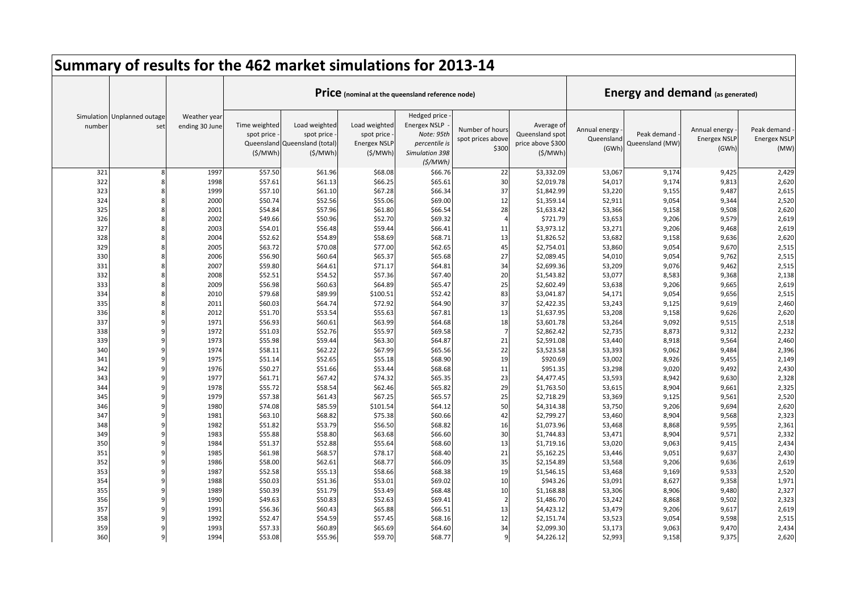|            |                                    |                                |                                        | Summary of results for the 462 market simulations for 2013-14           |                                                                |                                                                                                 |                                               |                                                               |                                      |                                         |                                               |                                            |
|------------|------------------------------------|--------------------------------|----------------------------------------|-------------------------------------------------------------------------|----------------------------------------------------------------|-------------------------------------------------------------------------------------------------|-----------------------------------------------|---------------------------------------------------------------|--------------------------------------|-----------------------------------------|-----------------------------------------------|--------------------------------------------|
|            |                                    |                                |                                        |                                                                         |                                                                | Price (nominal at the queensland reference node)                                                |                                               |                                                               |                                      | <b>Energy and demand (as generated)</b> |                                               |                                            |
| number     | Simulation Unplanned outage<br>set | Weather year<br>ending 30 June | Time weighted<br>spot price<br>(S/MWh) | Load weighted<br>spot price<br>Queensland Queensland (total)<br>(S/MWh) | Load weighted<br>spot price<br><b>Energex NSLP</b><br>(\$/MWh) | Hedged price<br><b>Energex NSLP</b><br>Note: 95th<br>percentile is<br>Simulation 398<br>(S/MWh) | Number of hours<br>spot prices above<br>\$300 | Average of<br>Queensland spot<br>price above \$300<br>(S/MWh) | Annual energy<br>Queensland<br>(GWh) | Peak demand<br>Queensland (MW)          | Annual energy<br><b>Energex NSLF</b><br>(GWh) | Peak demand<br><b>Energex NSLP</b><br>(MW) |
| 321        |                                    | 1997                           | \$57.50                                | \$61.96                                                                 | \$68.08                                                        | \$66.76                                                                                         | 22                                            | \$3,332.09                                                    | 53,067                               | 9,174                                   | 9,425                                         | 2,429                                      |
| 322        |                                    | 1998                           | \$57.61                                | \$61.13                                                                 | \$66.25                                                        | \$65.61                                                                                         | 30                                            | \$2,019.78                                                    | 54,017                               | 9,174                                   | 9,813                                         | 2,620                                      |
| 323        |                                    | 1999                           | \$57.10                                | \$61.10                                                                 | \$67.28                                                        | \$66.34                                                                                         | 37                                            | \$1,842.99                                                    | 53,220                               | 9,155                                   | 9,487                                         | 2,615                                      |
| 324        |                                    | 2000                           | \$50.74                                | \$52.56                                                                 | \$55.06                                                        | \$69.00                                                                                         | 12                                            | \$1,359.14                                                    | 52,911                               | 9,054                                   | 9,344                                         | 2,520                                      |
| 325        |                                    | 2001                           | \$54.84                                | \$57.96                                                                 | \$61.80                                                        | \$66.54                                                                                         | 28                                            | \$1,633.42                                                    | 53,366                               | 9,158                                   | 9,508                                         | 2,620                                      |
| 326        |                                    | 2002                           | \$49.66                                | \$50.96                                                                 | \$52.70                                                        | \$69.32                                                                                         | $\Delta$                                      | \$721.79                                                      | 53,653                               | 9,206                                   | 9,579                                         | 2,619                                      |
| 327        |                                    | 2003                           | \$54.01                                | \$56.48                                                                 | \$59.44                                                        | \$66.41                                                                                         | 11                                            | \$3,973.12                                                    | 53,271                               | 9,206                                   | 9,468                                         | 2,619                                      |
| 328        |                                    | 2004                           | \$52.62                                | \$54.89                                                                 | \$58.69                                                        | \$68.71                                                                                         | 13                                            | \$1,826.52                                                    | 53,682                               | 9,158                                   | 9,636                                         | 2,620                                      |
| 329        |                                    | 2005                           | \$63.72                                | \$70.08                                                                 | \$77.00                                                        | \$62.65                                                                                         | 45                                            | \$2,754.01                                                    | 53,860                               | 9,054                                   | 9,670                                         | 2,515                                      |
| 330        |                                    | 2006                           | \$56.90                                | \$60.64                                                                 | \$65.37                                                        | \$65.68                                                                                         | 27                                            | \$2,089.45                                                    | 54,010                               | 9,054                                   | 9,762                                         | 2,515                                      |
| 331        |                                    | 2007                           | \$59.80                                | \$64.61                                                                 | \$71.17                                                        | \$64.81                                                                                         | 34                                            | \$2,699.36                                                    | 53,209                               | 9,076                                   | 9,462                                         | 2,515                                      |
| 332        |                                    | 2008                           | \$52.51                                | \$54.52                                                                 | \$57.36                                                        | \$67.40                                                                                         | 20                                            | \$1,543.82                                                    | 53,077                               | 8,583                                   | 9,368                                         | 2,138                                      |
| 333        |                                    | 2009                           | \$56.98                                | \$60.63                                                                 | \$64.89                                                        | \$65.47                                                                                         | 25                                            | \$2,602.49                                                    | 53,638                               | 9,206                                   | 9,665                                         | 2,619                                      |
| 334        |                                    | 2010                           | \$79.68                                | \$89.99                                                                 | \$100.51                                                       | \$52.42                                                                                         | 83                                            | \$3,041.87                                                    | 54,171                               | 9,054                                   | 9,656                                         | 2,515                                      |
| 335        |                                    | 2011                           | \$60.03                                | \$64.74                                                                 | \$72.92                                                        | \$64.90                                                                                         | 37                                            | \$2,422.35                                                    | 53,243                               | 9,125                                   | 9,619                                         | 2,460                                      |
| 336        |                                    | 2012                           | \$51.70                                | \$53.54                                                                 | \$55.63                                                        | \$67.81                                                                                         | 13                                            | \$1,637.95                                                    | 53,208                               | 9,158                                   | 9,626                                         | 2,620                                      |
| 337        |                                    | 1971                           | \$56.93                                | \$60.61                                                                 | \$63.99                                                        | \$64.68                                                                                         | 18                                            | \$3,601.78                                                    | 53,264                               | 9,092                                   | 9,515                                         | 2,518                                      |
| 338        |                                    | 1972                           | \$51.03                                | \$52.76                                                                 | \$55.97                                                        | \$69.58                                                                                         | $\overline{7}$                                | \$2,862.42                                                    | 52,735                               | 8,873                                   | 9,312                                         | 2,232                                      |
| 339        |                                    | 1973                           | \$55.98                                | \$59.44                                                                 | \$63.30                                                        | \$64.87                                                                                         | 21                                            | \$2,591.08                                                    | 53,440                               | 8,918                                   | 9,564                                         | 2,460                                      |
| 340        |                                    | 1974                           | \$58.11                                | \$62.22                                                                 | \$67.99                                                        | \$65.56                                                                                         | 22                                            | \$3,523.58                                                    | 53,393                               | 9,062                                   | 9,484                                         | 2,396                                      |
| 341        |                                    | 1975                           | \$51.14                                | \$52.65                                                                 | \$55.18                                                        | \$68.90                                                                                         | 19                                            | \$920.69                                                      | 53,002                               | 8,926                                   | 9,455                                         | 2,149                                      |
| 342        |                                    | 1976                           | \$50.27                                | \$51.66                                                                 | \$53.44                                                        | \$68.68                                                                                         | 11                                            | \$951.35                                                      | 53,298                               | 9,020                                   | 9,492                                         | 2,430                                      |
| 343        |                                    | 1977                           | \$61.71                                | \$67.42                                                                 | \$74.32                                                        | \$65.35                                                                                         | 23                                            | \$4,477.45                                                    | 53,593                               | 8,942                                   | 9,630                                         | 2,328                                      |
| 344        |                                    | 1978                           | \$55.72                                | \$58.54                                                                 | \$62.46                                                        | \$65.82                                                                                         | 29                                            | \$1,763.50                                                    | 53,615                               | 8,904                                   | 9,661                                         | 2,325                                      |
| 345        |                                    | 1979                           | \$57.38                                | \$61.43                                                                 | \$67.25                                                        | \$65.57                                                                                         | 25<br>50                                      | \$2,718.29                                                    | 53,369                               | 9,125                                   | 9,561                                         | 2,520                                      |
| 346        |                                    | 1980                           | \$74.08                                | \$85.59                                                                 | \$101.54                                                       | \$64.12                                                                                         | 42                                            | \$4,314.38                                                    | 53,750                               | 9,206                                   | 9,694                                         | 2,620                                      |
| 347<br>348 |                                    | 1981<br>1982                   | \$63.10<br>\$51.82                     | \$68.82<br>\$53.79                                                      | \$75.38<br>\$56.50                                             | \$60.66<br>\$68.82                                                                              | 16                                            | \$2,799.27<br>\$1,073.96                                      | 53,460<br>53,468                     | 8,904<br>8,868                          | 9,568<br>9,595                                | 2,323<br>2,361                             |
| 349        |                                    | 1983                           | \$55.88                                | \$58.80                                                                 | \$63.68                                                        | \$66.60                                                                                         | 30                                            | \$1,744.83                                                    | 53,471                               | 8,904                                   | 9,571                                         | 2,332                                      |
| 350        |                                    | 1984                           | \$51.37                                | \$52.88                                                                 | \$55.64                                                        | \$68.60                                                                                         | 13                                            | \$1,719.16                                                    | 53,020                               | 9,063                                   | 9,415                                         | 2,434                                      |
| 351        |                                    | 1985                           | \$61.98                                | \$68.57                                                                 | \$78.17                                                        | \$68.40                                                                                         | 21                                            | \$5,162.25                                                    | 53,446                               | 9,051                                   | 9,637                                         | 2,430                                      |
| 352        |                                    | 1986                           | \$58.00                                | \$62.61                                                                 | \$68.77                                                        | \$66.09                                                                                         | 35                                            | \$2,154.89                                                    | 53,568                               | 9,206                                   | 9,636                                         | 2,619                                      |
| 353        |                                    | 1987                           | \$52.58                                | \$55.13                                                                 | \$58.66                                                        | \$68.38                                                                                         | 19                                            | \$1,546.15                                                    | 53,468                               | 9,169                                   | 9,533                                         | 2,520                                      |
| 354        |                                    | 1988                           | \$50.03                                | \$51.36                                                                 | \$53.01                                                        | \$69.02                                                                                         | 10                                            | \$943.26                                                      | 53,091                               | 8,627                                   | 9,358                                         | 1,971                                      |
| 355        |                                    | 1989                           | \$50.39                                | \$51.79                                                                 | \$53.49                                                        | \$68.48                                                                                         | 10                                            | \$1,168.88                                                    | 53,306                               | 8,906                                   | 9,480                                         | 2,327                                      |
| 356        |                                    | 1990                           | \$49.63                                | \$50.83                                                                 | \$52.63                                                        | \$69.41                                                                                         | $\overline{\phantom{a}}$                      | \$1,486.70                                                    | 53,242                               | 8,868                                   | 9,502                                         | 2,323                                      |
| 357        |                                    | 1991                           | \$56.36                                | \$60.43                                                                 | \$65.88                                                        | \$66.51                                                                                         | 13                                            | \$4,423.12                                                    | 53,479                               | 9,206                                   | 9,617                                         | 2,619                                      |
| 358        |                                    | 1992                           | \$52.47                                | \$54.59                                                                 | \$57.45                                                        | \$68.16                                                                                         | 12                                            | \$2,151.74                                                    | 53,523                               | 9,054                                   | 9,598                                         | 2,515                                      |
| 359        |                                    | 1993                           | \$57.33                                | \$60.89                                                                 | \$65.69                                                        | \$64.60                                                                                         | 34                                            | \$2,099.30                                                    | 53,173                               | 9,063                                   | 9,470                                         | 2,434                                      |
| 360        |                                    | 1994                           | \$53.08                                | \$55.96                                                                 | \$59.70                                                        | \$68.77                                                                                         | 9                                             | \$4,226.12                                                    | 52,993                               | 9,158                                   | 9,375                                         | 2,620                                      |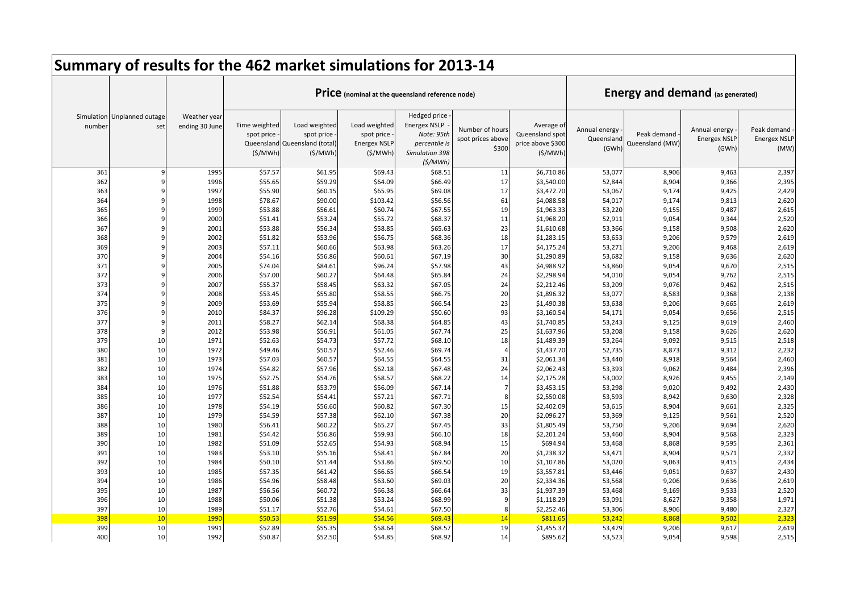|            | Summary of results for the 462 market simulations for 2013-14 |                                |                                                      |                                                              |                                                               |                                                                                                 |                                               |                                                               |                                      |                                         |                                               |                                            |
|------------|---------------------------------------------------------------|--------------------------------|------------------------------------------------------|--------------------------------------------------------------|---------------------------------------------------------------|-------------------------------------------------------------------------------------------------|-----------------------------------------------|---------------------------------------------------------------|--------------------------------------|-----------------------------------------|-----------------------------------------------|--------------------------------------------|
|            |                                                               |                                |                                                      |                                                              |                                                               | Price (nominal at the queensland reference node)                                                |                                               |                                                               |                                      | <b>Energy and demand (as generated)</b> |                                               |                                            |
| number     | Simulation Unplanned outage<br>set                            | Weather year<br>ending 30 June | Time weighted<br>spot price<br>Queensland<br>(S/MWh) | Load weighted<br>spot price<br>Queensland (total)<br>(S/MWh) | Load weighted<br>spot price<br><b>Energex NSLP</b><br>(S/MWh) | Hedged price<br><b>Energex NSLP</b><br>Note: 95th<br>percentile is<br>Simulation 398<br>(S/MWh) | Number of hours<br>spot prices above<br>\$300 | Average of<br>Queensland spot<br>price above \$300<br>(S/MWh) | Annual energy<br>Queensland<br>(GWh) | Peak demand<br>Queensland (MW)          | Annual energy<br><b>Energex NSLF</b><br>(GWh) | Peak demand<br><b>Energex NSLP</b><br>(MW) |
| 361        | q                                                             | 1995                           | \$57.57                                              | \$61.95                                                      | \$69.43                                                       | \$68.51                                                                                         | 11                                            | \$6,710.86                                                    | 53,077                               | 8,906                                   | 9,463                                         | 2,397                                      |
| 362        |                                                               | 1996                           | \$55.65                                              | \$59.29                                                      | \$64.09                                                       | \$66.49                                                                                         | 17                                            | \$3,540.00                                                    | 52,844                               | 8,904                                   | 9,366                                         | 2,395                                      |
| 363        |                                                               | 1997                           | \$55.90                                              | \$60.15                                                      | \$65.95                                                       | \$69.08                                                                                         | 17                                            | \$3,472.70                                                    | 53,067                               | 9,174                                   | 9,425                                         | 2,429                                      |
| 364        |                                                               | 1998                           | \$78.67                                              | \$90.00                                                      | \$103.42                                                      | \$56.56                                                                                         | 61                                            | \$4,088.58                                                    | 54,017                               | 9,174                                   | 9,813                                         | 2,620                                      |
| 365        |                                                               | 1999                           | \$53.88                                              | \$56.61                                                      | \$60.74                                                       | \$67.55                                                                                         | 19                                            | \$1,963.33                                                    | 53,220                               | 9,155                                   | 9,487                                         | 2,615                                      |
| 366        |                                                               | 2000                           | \$51.41                                              | \$53.24                                                      | \$55.72                                                       | \$68.37                                                                                         | 11                                            | \$1,968.20                                                    | 52,911                               | 9,054                                   | 9,344                                         | 2,520                                      |
| 367        |                                                               | 2001                           | \$53.88                                              | \$56.34                                                      | \$58.85                                                       | \$65.63                                                                                         | 23                                            | \$1,610.68                                                    | 53,366                               | 9,158                                   | 9,508                                         | 2,620                                      |
| 368        |                                                               | 2002                           | \$51.82                                              | \$53.96                                                      | \$56.75                                                       | \$68.36                                                                                         | 18                                            | \$1,283.15                                                    | 53,653                               | 9,206                                   | 9,579                                         | 2,619                                      |
| 369        |                                                               | 2003                           | \$57.11                                              | \$60.66                                                      | \$63.98                                                       | \$63.26                                                                                         | 17                                            | \$4,175.24                                                    | 53,271                               | 9,206                                   | 9,468                                         | 2,619                                      |
| 370        |                                                               | 2004                           | \$54.16                                              | \$56.86                                                      | \$60.61                                                       | \$67.19                                                                                         | 30                                            | \$1,290.89                                                    | 53,682                               | 9,158                                   | 9,636                                         | 2,620                                      |
| 371        | q<br>$\mathbf{q}$                                             | 2005                           | \$74.04                                              | \$84.61                                                      | \$96.24                                                       | \$57.98                                                                                         | 43                                            | \$4,988.92                                                    | 53,860                               | 9,054                                   | 9,670                                         | 2,515                                      |
| 372        |                                                               | 2006                           | \$57.00                                              | \$60.27                                                      | \$64.48                                                       | \$65.84                                                                                         | 24                                            | \$2,298.94                                                    | 54,010                               | 9,054                                   | 9,762                                         | 2,515                                      |
| 373<br>374 |                                                               | 2007<br>2008                   | \$55.37                                              | \$58.45<br>\$55.80                                           | \$63.32                                                       | \$67.05                                                                                         | 24<br>20                                      | \$2,212.46<br>\$1,896.32                                      | 53,209                               | 9,076                                   | 9,462                                         | 2,515                                      |
| 375        |                                                               | 2009                           | \$53.45<br>\$53.69                                   | \$55.94                                                      | \$58.55<br>\$58.85                                            | \$66.75<br>\$66.54                                                                              | 23                                            | \$1,490.38                                                    | 53,077                               | 8,583<br>9,206                          | 9,368<br>9,665                                | 2,138                                      |
| 376        | q                                                             | 2010                           | \$84.37                                              | \$96.28                                                      | \$109.29                                                      | \$50.60                                                                                         | 93                                            | \$3,160.54                                                    | 53,638<br>54,171                     | 9,054                                   | 9,656                                         | 2,619<br>2,515                             |
| 377        | q                                                             | 2011                           | \$58.27                                              | \$62.14                                                      | \$68.38                                                       | \$64.85                                                                                         | 43                                            | \$1,740.85                                                    | 53,243                               | 9,125                                   | 9,619                                         | 2,460                                      |
| 378        | $\mathbf{q}$                                                  | 2012                           | \$53.98                                              | \$56.91                                                      | \$61.05                                                       | \$67.74                                                                                         | 25                                            | \$1,637.96                                                    | 53,208                               | 9,158                                   | 9,626                                         | 2,620                                      |
| 379        | 10                                                            | 1971                           | \$52.63                                              | \$54.73                                                      | \$57.72                                                       | \$68.10                                                                                         | 18                                            | \$1,489.39                                                    | 53,264                               | 9,092                                   | 9,515                                         | 2,518                                      |
| 380        | 10                                                            | 1972                           | \$49.46                                              | \$50.57                                                      | \$52.46                                                       | \$69.74                                                                                         | $\overline{A}$                                | \$1,437.70                                                    | 52,735                               | 8,873                                   | 9,312                                         | 2,232                                      |
| 381        | 10                                                            | 1973                           | \$57.03                                              | \$60.57                                                      | \$64.55                                                       | \$64.55                                                                                         | 31                                            | \$2,061.34                                                    | 53,440                               | 8,918                                   | 9,564                                         | 2,460                                      |
| 382        | 10                                                            | 1974                           | \$54.82                                              | \$57.96                                                      | \$62.18                                                       | \$67.48                                                                                         | 24                                            | \$2,062.43                                                    | 53,393                               | 9,062                                   | 9,484                                         | 2,396                                      |
| 383        | 10                                                            | 1975                           | \$52.75                                              | \$54.76                                                      | \$58.57                                                       | \$68.22                                                                                         | 14                                            | \$2,175.28                                                    | 53,002                               | 8,926                                   | 9,455                                         | 2,149                                      |
| 384        | 10                                                            | 1976                           | \$51.88                                              | \$53.79                                                      | \$56.09                                                       | \$67.14                                                                                         |                                               | \$3,453.15                                                    | 53,298                               | 9,020                                   | 9,492                                         | 2,430                                      |
| 385        | 10                                                            | 1977                           | \$52.54                                              | \$54.41                                                      | \$57.21                                                       | \$67.71                                                                                         | 8                                             | \$2,550.08                                                    | 53,593                               | 8,942                                   | 9,630                                         | 2,328                                      |
| 386        | 10                                                            | 1978                           | \$54.19                                              | \$56.60                                                      | \$60.82                                                       | \$67.30                                                                                         | 15                                            | \$2,402.09                                                    | 53,615                               | 8,904                                   | 9,661                                         | 2,325                                      |
| 387        | 10                                                            | 1979                           | \$54.59                                              | \$57.38                                                      | \$62.10                                                       | \$67.38                                                                                         | 20                                            | \$2,096.27                                                    | 53,369                               | 9,125                                   | 9,561                                         | 2,520                                      |
| 388        | 10                                                            | 1980                           | \$56.41                                              | \$60.22                                                      | \$65.27                                                       | \$67.45                                                                                         | 33                                            | \$1,805.49                                                    | 53,750                               | 9,206                                   | 9,694                                         | 2,620                                      |
| 389        | 10                                                            | 1981                           | \$54.42                                              | \$56.86                                                      | \$59.93                                                       | \$66.10                                                                                         | 18                                            | \$2,201.24                                                    | 53,460                               | 8,904                                   | 9,568                                         | 2,323                                      |
| 390        | 10                                                            | 1982                           | \$51.09                                              | \$52.65                                                      | \$54.93                                                       | \$68.94                                                                                         | 15                                            | \$694.94                                                      | 53,468                               | 8,868                                   | 9,595                                         | 2,361                                      |
| 391        | 10                                                            | 1983                           | \$53.10                                              | \$55.16                                                      | \$58.41                                                       | \$67.84                                                                                         | 20                                            | \$1,238.32                                                    | 53,471                               | 8,904                                   | 9,571                                         | 2,332                                      |
| 392        | 10                                                            | 1984                           | \$50.10                                              | \$51.44                                                      | \$53.86                                                       | \$69.50                                                                                         | 10                                            | \$1,107.86                                                    | 53,020                               | 9,063                                   | 9,415                                         | 2,434                                      |
| 393        | 10                                                            | 1985                           | \$57.35                                              | \$61.42                                                      | \$66.65                                                       | \$66.54                                                                                         | 19                                            | \$3,557.81                                                    | 53,446                               | 9,051                                   | 9,637                                         | 2,430                                      |
| 394        | 10                                                            | 1986                           | \$54.96                                              | \$58.48                                                      | \$63.60                                                       | \$69.03                                                                                         | 20                                            | \$2,334.36                                                    | 53,568                               | 9,206                                   | 9,636                                         | 2,619                                      |
| 395<br>396 | 10<br>10                                                      | 1987                           | \$56.56                                              | \$60.72<br>\$51.38                                           | \$66.38                                                       | \$66.64<br>\$68.99                                                                              | 33<br>q                                       | \$1,937.39                                                    | 53,468                               | 9,169                                   | 9,533                                         | 2,520                                      |
| 397        | 10                                                            | 1988<br>1989                   | \$50.06<br>\$51.17                                   | \$52.76                                                      | \$53.24<br>\$54.61                                            | \$67.50                                                                                         | 8                                             | \$1,118.29<br>\$2,252.46                                      | 53,091<br>53,306                     | 8,627<br>8,906                          | 9,358<br>9,480                                | 1,971<br>2,327                             |
| 398        | 10                                                            | 1990                           | \$50.53                                              | \$51.99                                                      | \$54.56                                                       | \$69.43                                                                                         | 14                                            | \$811.65                                                      | 53,242                               | 8,868                                   | 9,502                                         | 2,323                                      |
| 399        | 10                                                            | 1991                           | \$52.89                                              | \$55.35                                                      | \$58.64                                                       | \$68.57                                                                                         | 19                                            | \$1,455.37                                                    | 53,479                               | 9,206                                   | 9,617                                         | 2,619                                      |
| 400        | 10                                                            | 1992                           | \$50.87                                              | \$52.50                                                      | \$54.85                                                       | \$68.92                                                                                         | 14                                            | \$895.62                                                      | 53,523                               | 9,054                                   | 9,598                                         | 2,515                                      |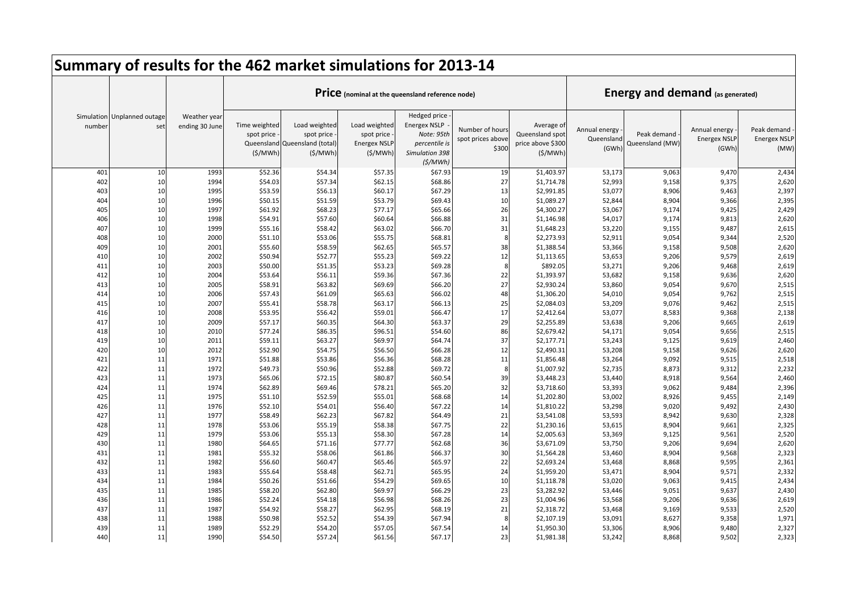|            |                                    |                                |                                        | Summary of results for the 462 market simulations for 2013-14           |                                                                |                                                                                                 |                                               |                                                               |                                      |                                         |                                               |                                            |
|------------|------------------------------------|--------------------------------|----------------------------------------|-------------------------------------------------------------------------|----------------------------------------------------------------|-------------------------------------------------------------------------------------------------|-----------------------------------------------|---------------------------------------------------------------|--------------------------------------|-----------------------------------------|-----------------------------------------------|--------------------------------------------|
|            |                                    |                                |                                        |                                                                         |                                                                | Price (nominal at the queensland reference node)                                                |                                               |                                                               |                                      | <b>Energy and demand (as generated)</b> |                                               |                                            |
| number     | Simulation Unplanned outage<br>set | Weather year<br>ending 30 June | Time weighted<br>spot price<br>(S/MWh) | Load weighted<br>spot price<br>Queensland Queensland (total)<br>(S/MWh) | Load weighted<br>spot price<br><b>Energex NSLP</b><br>(\$/MWh) | Hedged price<br><b>Energex NSLP</b><br>Note: 95th<br>percentile is<br>Simulation 398<br>(S/MWh) | Number of hours<br>spot prices above<br>\$300 | Average of<br>Queensland spot<br>price above \$300<br>(S/MWh) | Annual energy<br>Queensland<br>(GWh) | Peak demand<br>Queensland (MW)          | Annual energy<br><b>Energex NSLF</b><br>(GWh) | Peak demand<br><b>Energex NSLP</b><br>(MW) |
| 401        | 10                                 | 1993                           | \$52.36                                | \$54.34                                                                 | \$57.35                                                        | \$67.93                                                                                         | 19                                            | \$1,403.97                                                    | 53,173                               | 9,063                                   | 9,470                                         | 2,434                                      |
| 402        | 10                                 | 1994                           | \$54.03                                | \$57.34                                                                 | \$62.15                                                        | \$68.86                                                                                         | 27                                            | \$1,714.78                                                    | 52,993                               | 9,158                                   | 9,375                                         | 2,620                                      |
| 403        | 10                                 | 1995                           | \$53.59                                | \$56.13                                                                 | \$60.17                                                        | \$67.29                                                                                         | 13                                            | \$2,991.85                                                    | 53,077                               | 8,906                                   | 9,463                                         | 2,397                                      |
| 404        | 10                                 | 1996                           | \$50.15                                | \$51.59                                                                 | \$53.79                                                        | \$69.43                                                                                         | 10                                            | \$1,089.27                                                    | 52,844                               | 8,904                                   | 9,366                                         | 2,395                                      |
| 405        | 10                                 | 1997                           | \$61.92                                | \$68.23                                                                 | \$77.17                                                        | \$65.66                                                                                         | 26                                            | \$4,300.27                                                    | 53,067                               | 9,174                                   | 9,425                                         | 2,429                                      |
| 406        | 10                                 | 1998                           | \$54.91                                | \$57.60                                                                 | \$60.64                                                        | \$66.88                                                                                         | 31                                            | \$1,146.98                                                    | 54,017                               | 9,174                                   | 9,813                                         | 2,620                                      |
| 407        | 10                                 | 1999                           | \$55.16                                | \$58.42                                                                 | \$63.02                                                        | \$66.70                                                                                         | 31                                            | \$1,648.23                                                    | 53,220                               | 9,155                                   | 9,487                                         | 2,615                                      |
| 408        | 10                                 | 2000                           | \$51.10                                | \$53.06                                                                 | \$55.75                                                        | \$68.81                                                                                         | -8                                            | \$2,273.93                                                    | 52,911                               | 9,054                                   | 9,344                                         | 2,520                                      |
| 409        | 10                                 | 2001                           | \$55.60                                | \$58.59                                                                 | \$62.65                                                        | \$65.57                                                                                         | 38                                            | \$1,388.54                                                    | 53,366                               | 9,158                                   | 9,508                                         | 2,620                                      |
| 410        | 10                                 | 2002                           | \$50.94                                | \$52.77                                                                 | \$55.23                                                        | \$69.22                                                                                         | 12                                            | \$1,113.65                                                    | 53,653                               | 9,206                                   | 9,579                                         | 2,619                                      |
| 411        | 10                                 | 2003                           | \$50.00                                | \$51.35                                                                 | \$53.23                                                        | \$69.28                                                                                         | 8                                             | \$892.05                                                      | 53,271                               | 9,206                                   | 9,468                                         | 2,619                                      |
| 412        | 10                                 | 2004                           | \$53.64                                | \$56.11                                                                 | \$59.36                                                        | \$67.36                                                                                         | 22                                            | \$1,393.97                                                    | 53,682                               | 9,158                                   | 9,636                                         | 2,620                                      |
| 413        | 10                                 | 2005                           | \$58.91                                | \$63.82                                                                 | \$69.69                                                        | \$66.20                                                                                         | 27                                            | \$2,930.24                                                    | 53,860                               | 9,054                                   | 9,670                                         | 2,515                                      |
| 414        | 10                                 | 2006                           | \$57.43                                | \$61.09                                                                 | \$65.63                                                        | \$66.02                                                                                         | 48                                            | \$1,306.20                                                    | 54,010                               | 9,054                                   | 9,762                                         | 2,515                                      |
| 415        | 10                                 | 2007                           | \$55.41                                | \$58.78                                                                 | \$63.17                                                        | \$66.13                                                                                         | 25                                            | \$2,084.03                                                    | 53,209                               | 9,076                                   | 9,462                                         | 2,515                                      |
| 416        | 10                                 | 2008                           | \$53.95                                | \$56.42                                                                 | \$59.01                                                        | \$66.47                                                                                         | 17                                            | \$2,412.64                                                    | 53,077                               | 8,583                                   | 9,368                                         | 2,138                                      |
| 417        | 10                                 | 2009                           | \$57.17                                | \$60.35                                                                 | \$64.30                                                        | \$63.37                                                                                         | 29                                            | \$2,255.89                                                    | 53,638                               | 9,206                                   | 9,665                                         | 2,619                                      |
| 418        | 10                                 | 2010                           | \$77.24                                | \$86.35                                                                 | \$96.51                                                        | \$54.60                                                                                         | 86                                            | \$2,679.42                                                    | 54,171                               | 9,054                                   | 9,656                                         | 2,515                                      |
| 419<br>420 | 10<br>10                           | 2011                           | \$59.11                                | \$63.27                                                                 | \$69.97                                                        | \$64.74                                                                                         | 37                                            | \$2,177.71                                                    | 53,243                               | 9,125                                   | 9,619                                         | 2,460                                      |
|            | 11                                 | 2012                           | \$52.90                                | \$54.75                                                                 | \$56.50                                                        | \$66.28                                                                                         | 12                                            | \$2,490.31                                                    | 53,208                               | 9,158                                   | 9,626                                         | 2,620                                      |
| 421<br>422 | 11                                 | 1971<br>1972                   | \$51.88<br>\$49.73                     | \$53.86<br>\$50.96                                                      | \$56.36<br>\$52.88                                             | \$68.28<br>\$69.72                                                                              | 11<br>8                                       | \$1,856.48<br>\$1,007.92                                      | 53,264<br>52,735                     | 9,092<br>8,873                          | 9,515<br>9,312                                | 2,518<br>2,232                             |
| 423        | 11                                 | 1973                           | \$65.06                                | \$72.15                                                                 | \$80.87                                                        | \$60.54                                                                                         | 39                                            | \$3,448.23                                                    | 53,440                               | 8,918                                   | 9,564                                         | 2,460                                      |
| 424        | 11                                 | 1974                           | \$62.89                                | \$69.46                                                                 | \$78.21                                                        | \$65.20                                                                                         | 32                                            | \$3,718.60                                                    | 53,393                               | 9,062                                   | 9,484                                         | 2,396                                      |
| 425        | 11                                 | 1975                           | \$51.10                                | \$52.59                                                                 | \$55.01                                                        | \$68.68                                                                                         | 14                                            | \$1,202.80                                                    | 53,002                               | 8,926                                   | 9,455                                         | 2,149                                      |
| 426        | 11                                 | 1976                           | \$52.10                                | \$54.01                                                                 | \$56.40                                                        | \$67.22                                                                                         | 14                                            | \$1,810.22                                                    | 53,298                               | 9,020                                   | 9,492                                         | 2,430                                      |
| 427        | 11                                 | 1977                           | \$58.49                                | \$62.23                                                                 | \$67.82                                                        | \$64.49                                                                                         | 21                                            | \$3,541.08                                                    | 53,593                               | 8,942                                   | 9,630                                         | 2,328                                      |
| 428        | 11                                 | 1978                           | \$53.06                                | \$55.19                                                                 | \$58.38                                                        | \$67.75                                                                                         | 22                                            | \$1,230.16                                                    | 53,615                               | 8,904                                   | 9,661                                         | 2,325                                      |
| 429        | 11                                 | 1979                           | \$53.06                                | \$55.13                                                                 | \$58.30                                                        | \$67.28                                                                                         | 14                                            | \$2,005.63                                                    | 53,369                               | 9,125                                   | 9,561                                         | 2,520                                      |
| 430        | 11                                 | 1980                           | \$64.65                                | \$71.16                                                                 | \$77.77                                                        | \$62.68                                                                                         | 36                                            | \$3,671.09                                                    | 53,750                               | 9,206                                   | 9,694                                         | 2,620                                      |
| 431        | 11                                 | 1981                           | \$55.32                                | \$58.06                                                                 | \$61.86                                                        | \$66.37                                                                                         | 30                                            | \$1,564.28                                                    | 53,460                               | 8,904                                   | 9,568                                         | 2,323                                      |
| 432        | 11                                 | 1982                           | \$56.60                                | \$60.47                                                                 | \$65.46                                                        | \$65.97                                                                                         | 22                                            | \$2,693.24                                                    | 53,468                               | 8,868                                   | 9,595                                         | 2,361                                      |
| 433        | 11                                 | 1983                           | \$55.64                                | \$58.48                                                                 | \$62.71                                                        | \$65.95                                                                                         | 24                                            | \$1,959.20                                                    | 53,471                               | 8,904                                   | 9,571                                         | 2,332                                      |
| 434        | 11                                 | 1984                           | \$50.26                                | \$51.66                                                                 | \$54.29                                                        | \$69.65                                                                                         | 10                                            | \$1,118.78                                                    | 53,020                               | 9,063                                   | 9,415                                         | 2,434                                      |
| 435        | 11                                 | 1985                           | \$58.20                                | \$62.80                                                                 | \$69.97                                                        | \$66.29                                                                                         | 23                                            | \$3,282.92                                                    | 53,446                               | 9,051                                   | 9,637                                         | 2,430                                      |
| 436        | 11                                 | 1986                           | \$52.24                                | \$54.18                                                                 | \$56.98                                                        | \$68.26                                                                                         | 23                                            | \$1,004.96                                                    | 53,568                               | 9,206                                   | 9,636                                         | 2,619                                      |
| 437        | 11                                 | 1987                           | \$54.92                                | \$58.27                                                                 | \$62.95                                                        | \$68.19                                                                                         | 21                                            | \$2,318.72                                                    | 53,468                               | 9,169                                   | 9,533                                         | 2,520                                      |
| 438        | 11                                 | 1988                           | \$50.98                                | \$52.52                                                                 | \$54.39                                                        | \$67.94                                                                                         | 8                                             | \$2,107.19                                                    | 53,091                               | 8,627                                   | 9,358                                         | 1,971                                      |
| 439        | 11                                 | 1989                           | \$52.29                                | \$54.20                                                                 | \$57.05                                                        | \$67.54                                                                                         | 14                                            | \$1,950.30                                                    | 53,306                               | 8,906                                   | 9,480                                         | 2,327                                      |
| 440        | 11                                 | 1990                           | \$54.50                                | \$57.24                                                                 | \$61.56                                                        | \$67.17                                                                                         | 23                                            | \$1,981.38                                                    | 53,242                               | 8,868                                   | 9,502                                         | 2,323                                      |